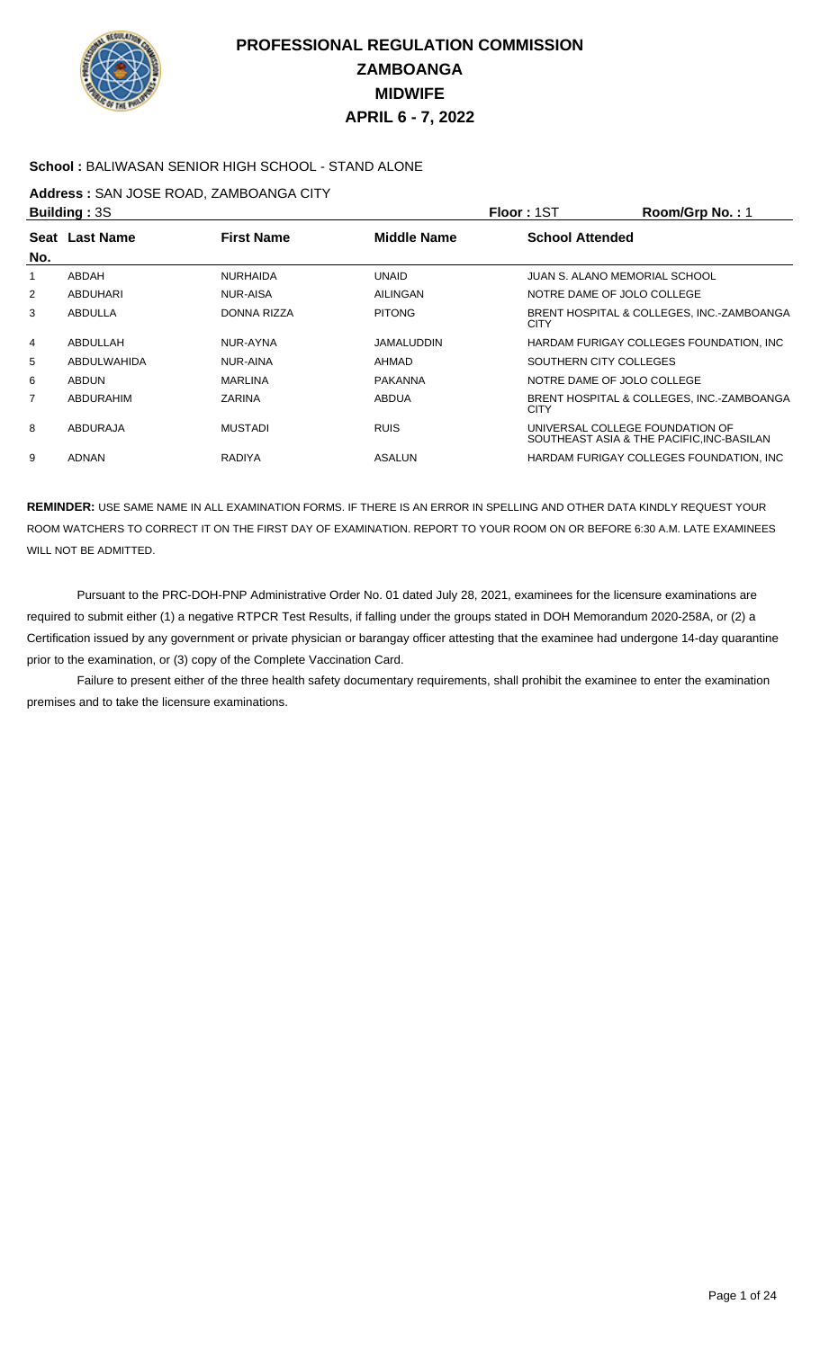

### **School :** BALIWASAN SENIOR HIGH SCHOOL - STAND ALONE

### **Address :** SAN JOSE ROAD, ZAMBOANGA CITY

|                | <b>Building: 3S</b> |                   |                    | Floor: 1ST             | Room/Grp No.: 1                                                              |
|----------------|---------------------|-------------------|--------------------|------------------------|------------------------------------------------------------------------------|
|                | Seat Last Name      | <b>First Name</b> | <b>Middle Name</b> | <b>School Attended</b> |                                                                              |
| No.            |                     |                   |                    |                        |                                                                              |
|                | ABDAH               | <b>NURHAIDA</b>   | <b>UNAID</b>       |                        | JUAN S. ALANO MEMORIAL SCHOOL                                                |
| 2              | ABDUHARI            | <b>NUR-AISA</b>   | AILINGAN           |                        | NOTRE DAME OF JOLO COLLEGE                                                   |
| 3              | ABDULLA             | DONNA RIZZA       | <b>PITONG</b>      | <b>CITY</b>            | BRENT HOSPITAL & COLLEGES. INC.-ZAMBOANGA                                    |
| 4              | ABDULLAH            | NUR-AYNA          | <b>JAMALUDDIN</b>  |                        | HARDAM FURIGAY COLLEGES FOUNDATION, INC.                                     |
| 5              | ABDULWAHIDA         | NUR-AINA          | AHMAD              |                        | SOUTHERN CITY COLLEGES                                                       |
| 6              | <b>ABDUN</b>        | <b>MARLINA</b>    | <b>PAKANNA</b>     |                        | NOTRE DAME OF JOLO COLLEGE                                                   |
| $\overline{7}$ | ABDURAHIM           | <b>ZARINA</b>     | <b>ABDUA</b>       | <b>CITY</b>            | BRENT HOSPITAL & COLLEGES, INC.-ZAMBOANGA                                    |
| 8              | ABDURAJA            | <b>MUSTADI</b>    | <b>RUIS</b>        |                        | UNIVERSAL COLLEGE FOUNDATION OF<br>SOUTHEAST ASIA & THE PACIFIC, INC-BASILAN |
| 9              | <b>ADNAN</b>        | <b>RADIYA</b>     | ASALUN             |                        | HARDAM FURIGAY COLLEGES FOUNDATION, INC.                                     |

**REMINDER:** USE SAME NAME IN ALL EXAMINATION FORMS. IF THERE IS AN ERROR IN SPELLING AND OTHER DATA KINDLY REQUEST YOUR ROOM WATCHERS TO CORRECT IT ON THE FIRST DAY OF EXAMINATION. REPORT TO YOUR ROOM ON OR BEFORE 6:30 A.M. LATE EXAMINEES WILL NOT BE ADMITTED.

 Pursuant to the PRC-DOH-PNP Administrative Order No. 01 dated July 28, 2021, examinees for the licensure examinations are required to submit either (1) a negative RTPCR Test Results, if falling under the groups stated in DOH Memorandum 2020-258A, or (2) a Certification issued by any government or private physician or barangay officer attesting that the examinee had undergone 14-day quarantine prior to the examination, or (3) copy of the Complete Vaccination Card.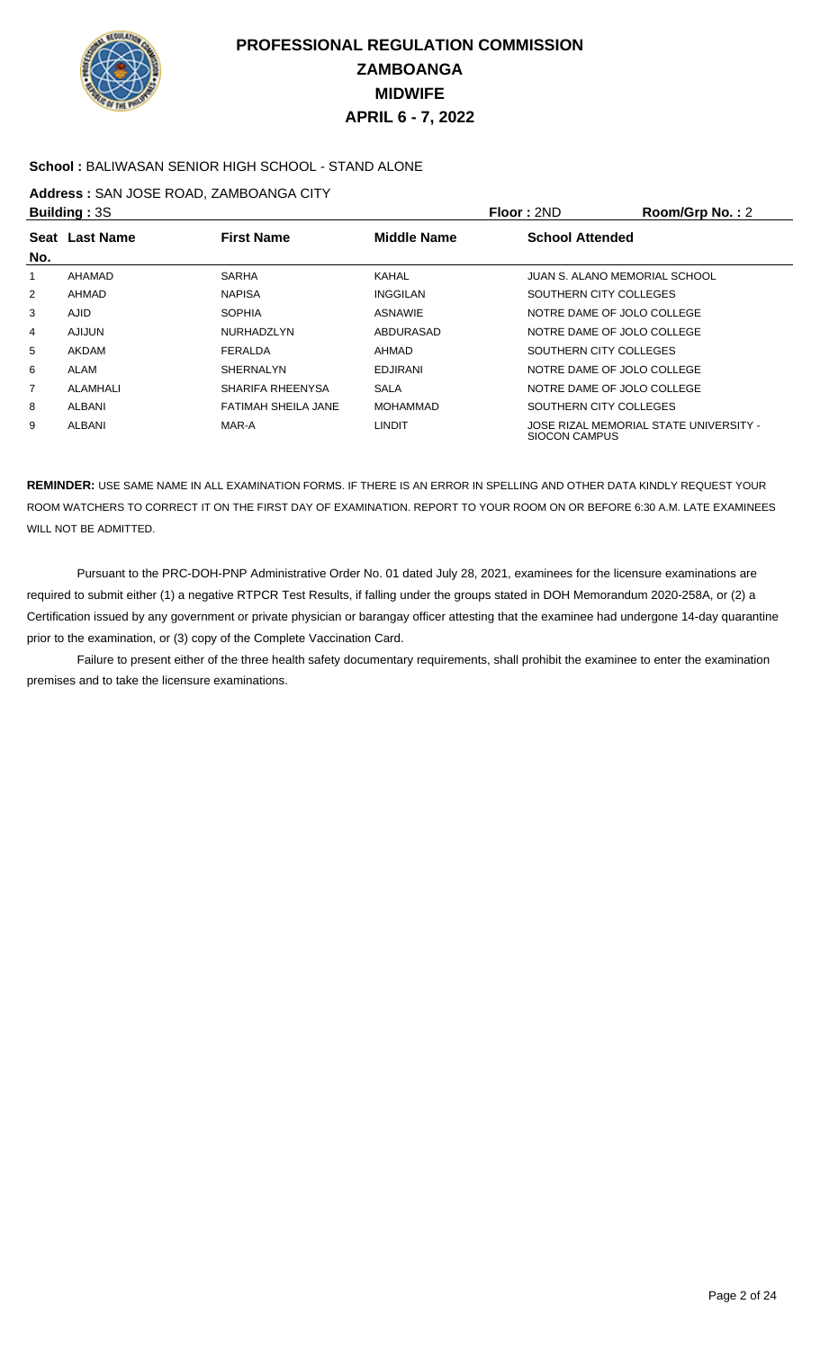

### **School :** BALIWASAN SENIOR HIGH SCHOOL - STAND ALONE

### **Address :** SAN JOSE ROAD, ZAMBOANGA CITY

|                | <b>Building: 3S</b> |                     |                    | Floor: 2ND                    | Room/Grp No.: 2                        |
|----------------|---------------------|---------------------|--------------------|-------------------------------|----------------------------------------|
|                | Seat Last Name      | <b>First Name</b>   | <b>Middle Name</b> | <b>School Attended</b>        |                                        |
| No.            |                     |                     |                    |                               |                                        |
|                | AHAMAD              | <b>SARHA</b>        | KAHAL              | JUAN S. ALANO MEMORIAL SCHOOL |                                        |
| $\overline{2}$ | AHMAD               | <b>NAPISA</b>       | <b>INGGILAN</b>    | SOUTHERN CITY COLLEGES        |                                        |
| 3              | <b>AJID</b>         | <b>SOPHIA</b>       | <b>ASNAWIE</b>     | NOTRE DAME OF JOLO COLLEGE    |                                        |
| 4              | <b>AJIJUN</b>       | <b>NURHADZLYN</b>   | ABDURASAD          | NOTRE DAME OF JOLO COLLEGE    |                                        |
| 5              | <b>AKDAM</b>        | FERALDA             | AHMAD              | SOUTHERN CITY COLLEGES        |                                        |
| 6              | <b>ALAM</b>         | <b>SHERNALYN</b>    | <b>EDJIRANI</b>    | NOTRE DAME OF JOLO COLLEGE    |                                        |
| 7              | ALAMHALI            | SHARIFA RHEENYSA    | <b>SALA</b>        | NOTRE DAME OF JOLO COLLEGE    |                                        |
| 8              | ALBANI              | FATIMAH SHEILA JANE | <b>MOHAMMAD</b>    | SOUTHERN CITY COLLEGES        |                                        |
| 9              | ALBANI              | MAR-A               | <b>LINDIT</b>      | SIOCON CAMPUS                 | JOSE RIZAL MEMORIAL STATE UNIVERSITY - |

**REMINDER:** USE SAME NAME IN ALL EXAMINATION FORMS. IF THERE IS AN ERROR IN SPELLING AND OTHER DATA KINDLY REQUEST YOUR ROOM WATCHERS TO CORRECT IT ON THE FIRST DAY OF EXAMINATION. REPORT TO YOUR ROOM ON OR BEFORE 6:30 A.M. LATE EXAMINEES WILL NOT BE ADMITTED.

 Pursuant to the PRC-DOH-PNP Administrative Order No. 01 dated July 28, 2021, examinees for the licensure examinations are required to submit either (1) a negative RTPCR Test Results, if falling under the groups stated in DOH Memorandum 2020-258A, or (2) a Certification issued by any government or private physician or barangay officer attesting that the examinee had undergone 14-day quarantine prior to the examination, or (3) copy of the Complete Vaccination Card.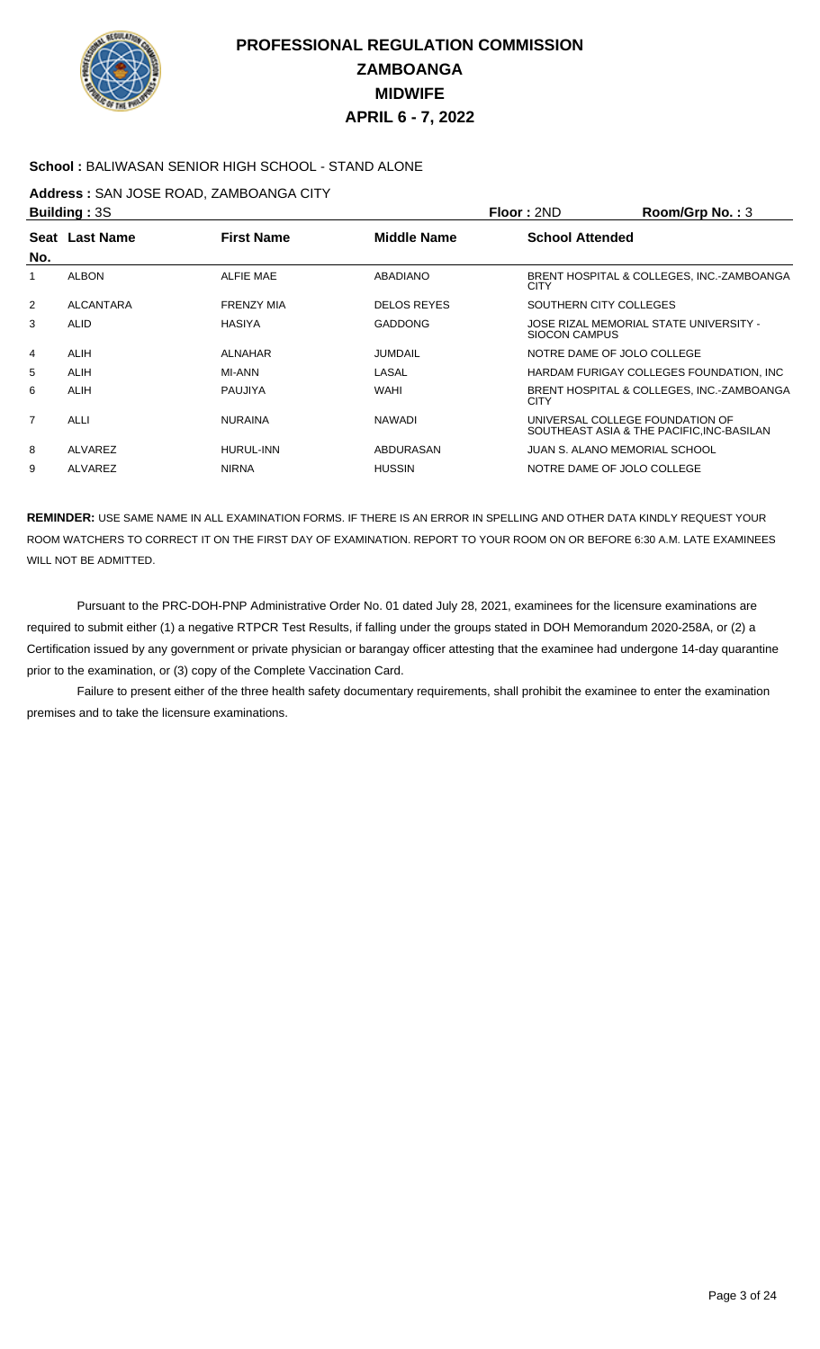

### **School :** BALIWASAN SENIOR HIGH SCHOOL - STAND ALONE

### **Address :** SAN JOSE ROAD, ZAMBOANGA CITY

|                | <b>Building: 3S</b> |                   |                    | Floor: 2ND             | Room/Grp No.: 3                                                              |
|----------------|---------------------|-------------------|--------------------|------------------------|------------------------------------------------------------------------------|
|                | Seat Last Name      | <b>First Name</b> | Middle Name        | <b>School Attended</b> |                                                                              |
| No.            |                     |                   |                    |                        |                                                                              |
|                | <b>ALBON</b>        | <b>ALFIE MAE</b>  | ABADIANO           | <b>CITY</b>            | BRENT HOSPITAL & COLLEGES, INC.-ZAMBOANGA                                    |
| 2              | ALCANTARA           | <b>FRENZY MIA</b> | <b>DELOS REYES</b> |                        | SOUTHERN CITY COLLEGES                                                       |
| 3              | <b>ALID</b>         | <b>HASIYA</b>     | <b>GADDONG</b>     | SIOCON CAMPUS          | JOSE RIZAL MEMORIAL STATE UNIVERSITY -                                       |
| 4              | <b>ALIH</b>         | <b>ALNAHAR</b>    | <b>JUMDAIL</b>     |                        | NOTRE DAME OF JOLO COLLEGE                                                   |
| 5              | <b>ALIH</b>         | MI-ANN            | LASAL              |                        | HARDAM FURIGAY COLLEGES FOUNDATION, INC.                                     |
| 6              | <b>ALIH</b>         | PAUJIYA           | <b>WAHI</b>        | <b>CITY</b>            | BRENT HOSPITAL & COLLEGES, INC.-ZAMBOANGA                                    |
| $\overline{7}$ | <b>ALLI</b>         | <b>NURAINA</b>    | <b>NAWADI</b>      |                        | UNIVERSAL COLLEGE FOUNDATION OF<br>SOUTHEAST ASIA & THE PACIFIC, INC-BASILAN |
| 8              | ALVAREZ             | <b>HURUL-INN</b>  | ABDURASAN          |                        | JUAN S. ALANO MEMORIAL SCHOOL                                                |
| 9              | ALVAREZ             | <b>NIRNA</b>      | <b>HUSSIN</b>      |                        | NOTRE DAME OF JOLO COLLEGE                                                   |

**REMINDER:** USE SAME NAME IN ALL EXAMINATION FORMS. IF THERE IS AN ERROR IN SPELLING AND OTHER DATA KINDLY REQUEST YOUR ROOM WATCHERS TO CORRECT IT ON THE FIRST DAY OF EXAMINATION. REPORT TO YOUR ROOM ON OR BEFORE 6:30 A.M. LATE EXAMINEES WILL NOT BE ADMITTED.

 Pursuant to the PRC-DOH-PNP Administrative Order No. 01 dated July 28, 2021, examinees for the licensure examinations are required to submit either (1) a negative RTPCR Test Results, if falling under the groups stated in DOH Memorandum 2020-258A, or (2) a Certification issued by any government or private physician or barangay officer attesting that the examinee had undergone 14-day quarantine prior to the examination, or (3) copy of the Complete Vaccination Card.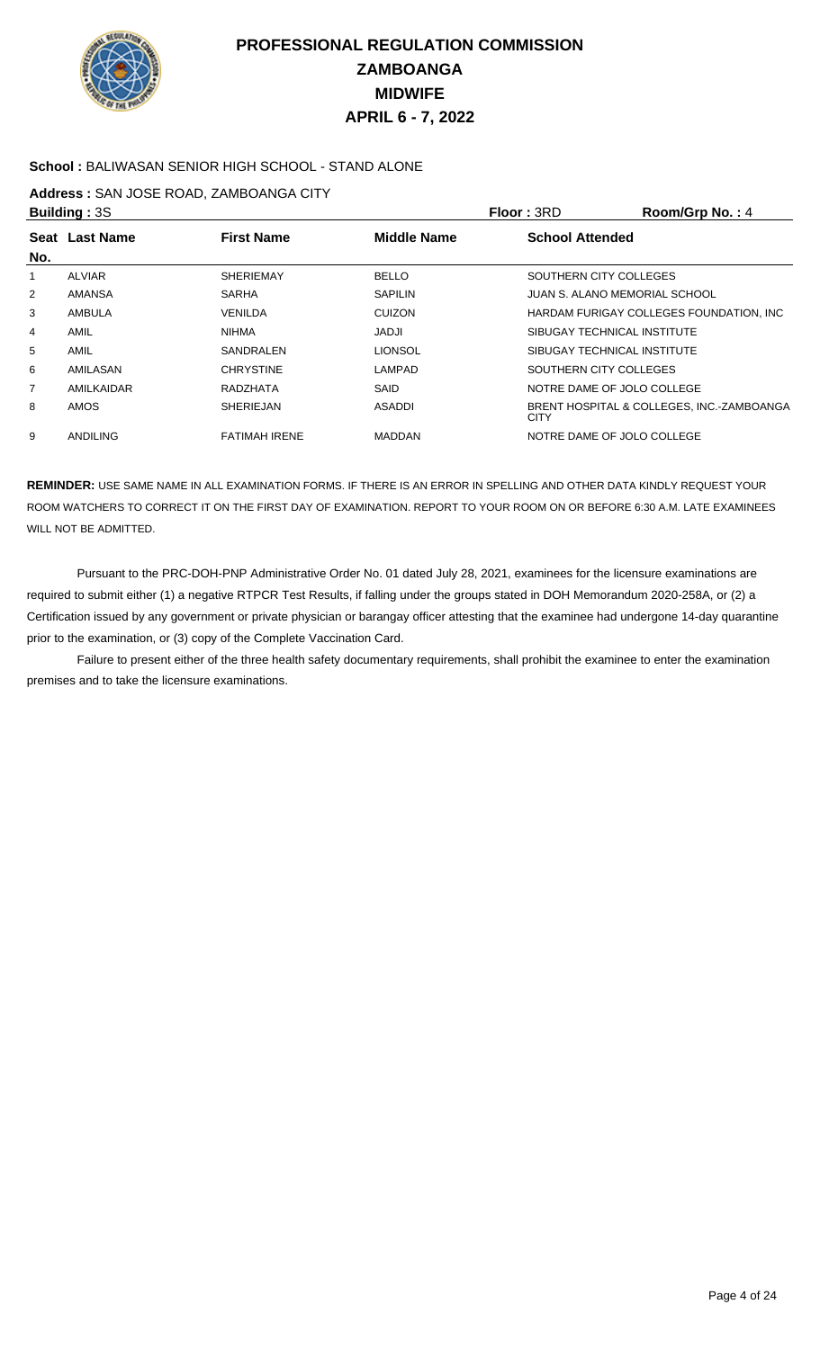

### **School :** BALIWASAN SENIOR HIGH SCHOOL - STAND ALONE

### **Address :** SAN JOSE ROAD, ZAMBOANGA CITY

|                | <b>Building: 3S</b> |                      |                    | Floor: 3RD                    | Room/Grp No.: 4                           |
|----------------|---------------------|----------------------|--------------------|-------------------------------|-------------------------------------------|
|                | Seat Last Name      | <b>First Name</b>    | <b>Middle Name</b> | <b>School Attended</b>        |                                           |
| No.            |                     |                      |                    |                               |                                           |
|                | <b>ALVIAR</b>       | <b>SHERIEMAY</b>     | <b>BELLO</b>       | SOUTHERN CITY COLLEGES        |                                           |
| $\overline{2}$ | AMANSA              | <b>SARHA</b>         | <b>SAPILIN</b>     | JUAN S. ALANO MEMORIAL SCHOOL |                                           |
| 3              | AMBULA              | VENILDA              | <b>CUIZON</b>      |                               | HARDAM FURIGAY COLLEGES FOUNDATION, INC.  |
| 4              | AMIL                | <b>NIHMA</b>         | JADJI              | SIBUGAY TECHNICAL INSTITUTE   |                                           |
| 5              | AMIL                | SANDRALEN            | LIONSOL            | SIBUGAY TECHNICAL INSTITUTE   |                                           |
| 6              | AMILASAN            | <b>CHRYSTINE</b>     | LAMPAD             | SOUTHERN CITY COLLEGES        |                                           |
| $\overline{7}$ | AMILKAIDAR          | RADZHATA             | SAID               | NOTRE DAME OF JOLO COLLEGE    |                                           |
| 8              | <b>AMOS</b>         | <b>SHERIEJAN</b>     | <b>ASADDI</b>      | <b>CITY</b>                   | BRENT HOSPITAL & COLLEGES, INC.-ZAMBOANGA |
| 9              | <b>ANDILING</b>     | <b>FATIMAH IRENE</b> | <b>MADDAN</b>      | NOTRE DAME OF JOLO COLLEGE    |                                           |
|                |                     |                      |                    |                               |                                           |

**REMINDER:** USE SAME NAME IN ALL EXAMINATION FORMS. IF THERE IS AN ERROR IN SPELLING AND OTHER DATA KINDLY REQUEST YOUR ROOM WATCHERS TO CORRECT IT ON THE FIRST DAY OF EXAMINATION. REPORT TO YOUR ROOM ON OR BEFORE 6:30 A.M. LATE EXAMINEES WILL NOT BE ADMITTED.

 Pursuant to the PRC-DOH-PNP Administrative Order No. 01 dated July 28, 2021, examinees for the licensure examinations are required to submit either (1) a negative RTPCR Test Results, if falling under the groups stated in DOH Memorandum 2020-258A, or (2) a Certification issued by any government or private physician or barangay officer attesting that the examinee had undergone 14-day quarantine prior to the examination, or (3) copy of the Complete Vaccination Card.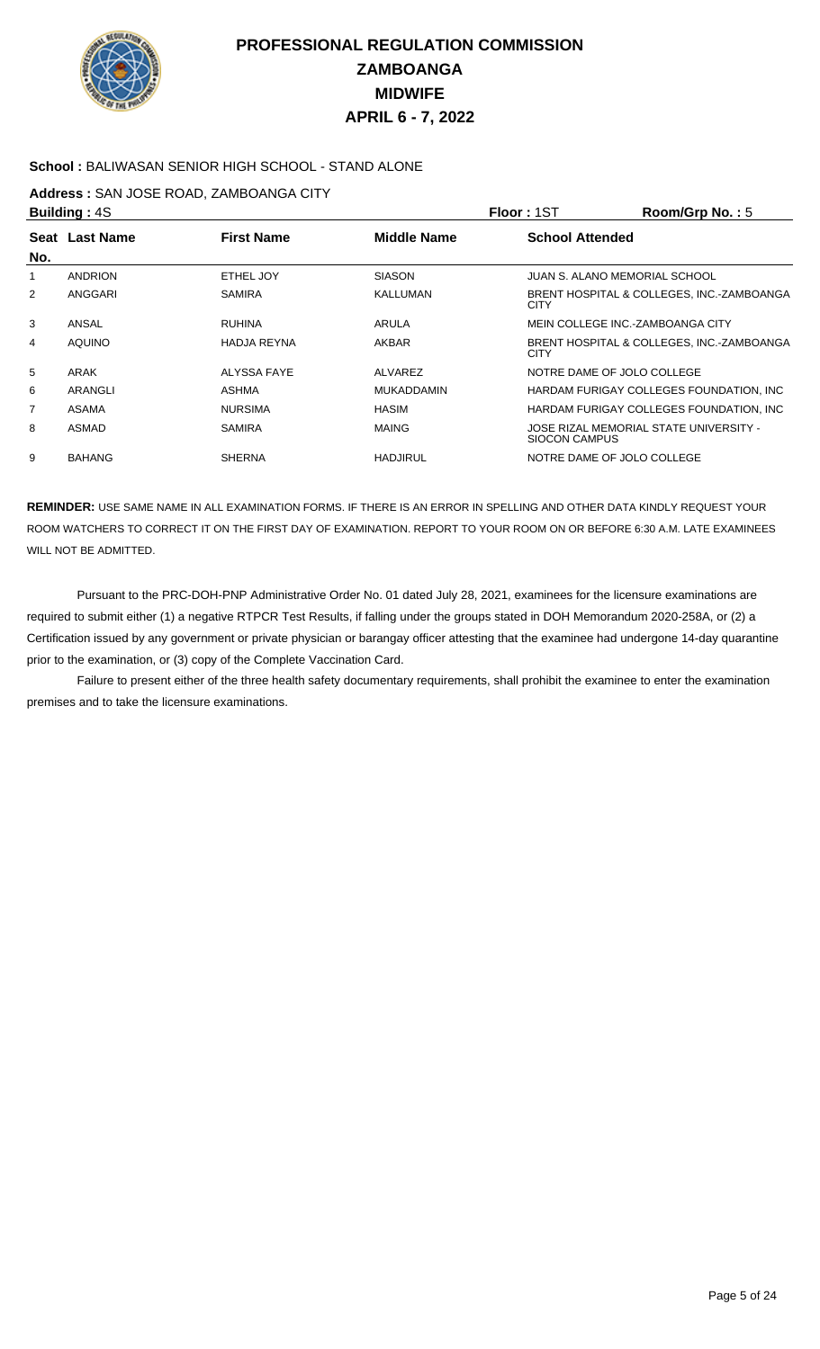

### **School :** BALIWASAN SENIOR HIGH SCHOOL - STAND ALONE

### **Address :** SAN JOSE ROAD, ZAMBOANGA CITY

|     | <b>Building: 4S</b> |                    |                    | Floor: 1ST             | Room/Grp No.: $5$                         |
|-----|---------------------|--------------------|--------------------|------------------------|-------------------------------------------|
|     | Seat Last Name      | <b>First Name</b>  | <b>Middle Name</b> | <b>School Attended</b> |                                           |
| No. |                     |                    |                    |                        |                                           |
|     | <b>ANDRION</b>      | ETHEL JOY          | <b>SIASON</b>      |                        | JUAN S. ALANO MEMORIAL SCHOOL             |
| 2   | ANGGARI             | <b>SAMIRA</b>      | KALLUMAN           | <b>CITY</b>            | BRENT HOSPITAL & COLLEGES, INC.-ZAMBOANGA |
| 3   | ANSAL               | <b>RUHINA</b>      | ARULA              |                        | MEIN COLLEGE INC.-ZAMBOANGA CITY          |
| 4   | <b>AQUINO</b>       | <b>HADJA REYNA</b> | AKBAR              | <b>CITY</b>            | BRENT HOSPITAL & COLLEGES, INC.-ZAMBOANGA |
| 5   | ARAK                | ALYSSA FAYE        | ALVAREZ            |                        | NOTRE DAME OF JOLO COLLEGE                |
| 6   | ARANGLI             | ASHMA              | <b>MUKADDAMIN</b>  |                        | HARDAM FURIGAY COLLEGES FOUNDATION, INC.  |
| 7   | ASAMA               | <b>NURSIMA</b>     | <b>HASIM</b>       |                        | HARDAM FURIGAY COLLEGES FOUNDATION, INC.  |
| 8   | ASMAD               | <b>SAMIRA</b>      | <b>MAING</b>       | SIOCON CAMPUS          | JOSE RIZAL MEMORIAL STATE UNIVERSITY -    |
| 9   | <b>BAHANG</b>       | <b>SHERNA</b>      | <b>HADJIRUL</b>    |                        | NOTRE DAME OF JOLO COLLEGE                |
|     |                     |                    |                    |                        |                                           |

**REMINDER:** USE SAME NAME IN ALL EXAMINATION FORMS. IF THERE IS AN ERROR IN SPELLING AND OTHER DATA KINDLY REQUEST YOUR ROOM WATCHERS TO CORRECT IT ON THE FIRST DAY OF EXAMINATION. REPORT TO YOUR ROOM ON OR BEFORE 6:30 A.M. LATE EXAMINEES WILL NOT BE ADMITTED.

 Pursuant to the PRC-DOH-PNP Administrative Order No. 01 dated July 28, 2021, examinees for the licensure examinations are required to submit either (1) a negative RTPCR Test Results, if falling under the groups stated in DOH Memorandum 2020-258A, or (2) a Certification issued by any government or private physician or barangay officer attesting that the examinee had undergone 14-day quarantine prior to the examination, or (3) copy of the Complete Vaccination Card.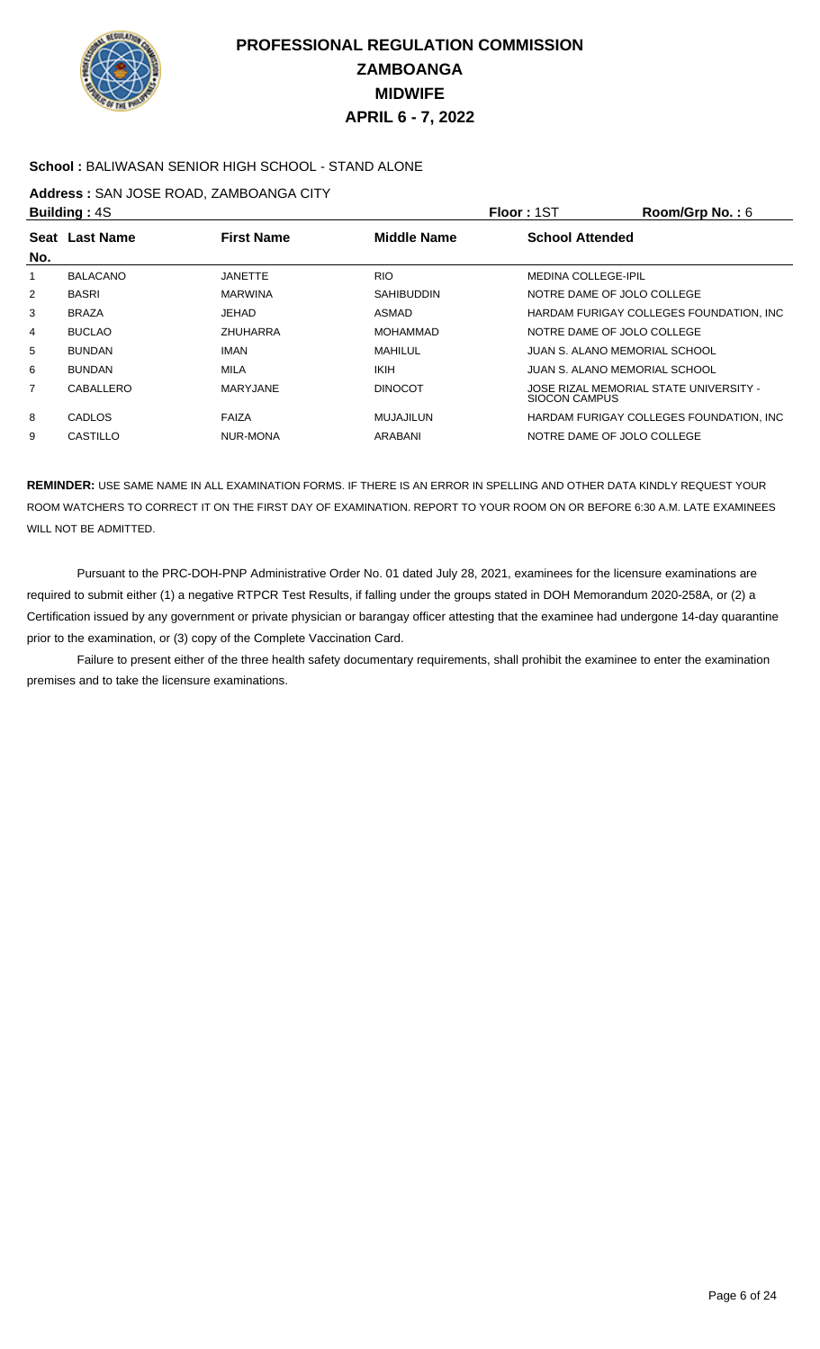

### **School :** BALIWASAN SENIOR HIGH SCHOOL - STAND ALONE

### **Address :** SAN JOSE ROAD, ZAMBOANGA CITY

|                | <b>Building: 4S</b> |                   |                    | Floor: 1ST                    | Room/Grp No.: $6$                        |
|----------------|---------------------|-------------------|--------------------|-------------------------------|------------------------------------------|
|                | Seat Last Name      | <b>First Name</b> | <b>Middle Name</b> | <b>School Attended</b>        |                                          |
| No.            |                     |                   |                    |                               |                                          |
|                | <b>BALACANO</b>     | <b>JANETTE</b>    | <b>RIO</b>         | <b>MEDINA COLLEGE-IPIL</b>    |                                          |
| $\overline{2}$ | <b>BASRI</b>        | <b>MARWINA</b>    | <b>SAHIBUDDIN</b>  | NOTRE DAME OF JOLO COLLEGE    |                                          |
| 3              | <b>BRAZA</b>        | JEHAD             | ASMAD              |                               | HARDAM FURIGAY COLLEGES FOUNDATION, INC. |
| 4              | <b>BUCLAO</b>       | ZHUHARRA          | MOHAMMAD           | NOTRE DAME OF JOLO COLLEGE    |                                          |
| 5              | <b>BUNDAN</b>       | <b>IMAN</b>       | MAHILUL            | JUAN S. ALANO MEMORIAL SCHOOL |                                          |
| 6              | <b>BUNDAN</b>       | <b>MILA</b>       | <b>IKIH</b>        | JUAN S. ALANO MEMORIAL SCHOOL |                                          |
| $\overline{7}$ | CABALLERO           | <b>MARYJANE</b>   | <b>DINOCOT</b>     | SIOCON CAMPUS                 | JOSE RIZAL MEMORIAL STATE UNIVERSITY -   |
| 8              | CADLOS              | <b>FAIZA</b>      | MUJAJILUN          |                               | HARDAM FURIGAY COLLEGES FOUNDATION, INC. |
| 9              | CASTILLO            | NUR-MONA          | ARABANI            | NOTRE DAME OF JOLO COLLEGE    |                                          |

**REMINDER:** USE SAME NAME IN ALL EXAMINATION FORMS. IF THERE IS AN ERROR IN SPELLING AND OTHER DATA KINDLY REQUEST YOUR ROOM WATCHERS TO CORRECT IT ON THE FIRST DAY OF EXAMINATION. REPORT TO YOUR ROOM ON OR BEFORE 6:30 A.M. LATE EXAMINEES WILL NOT BE ADMITTED.

 Pursuant to the PRC-DOH-PNP Administrative Order No. 01 dated July 28, 2021, examinees for the licensure examinations are required to submit either (1) a negative RTPCR Test Results, if falling under the groups stated in DOH Memorandum 2020-258A, or (2) a Certification issued by any government or private physician or barangay officer attesting that the examinee had undergone 14-day quarantine prior to the examination, or (3) copy of the Complete Vaccination Card.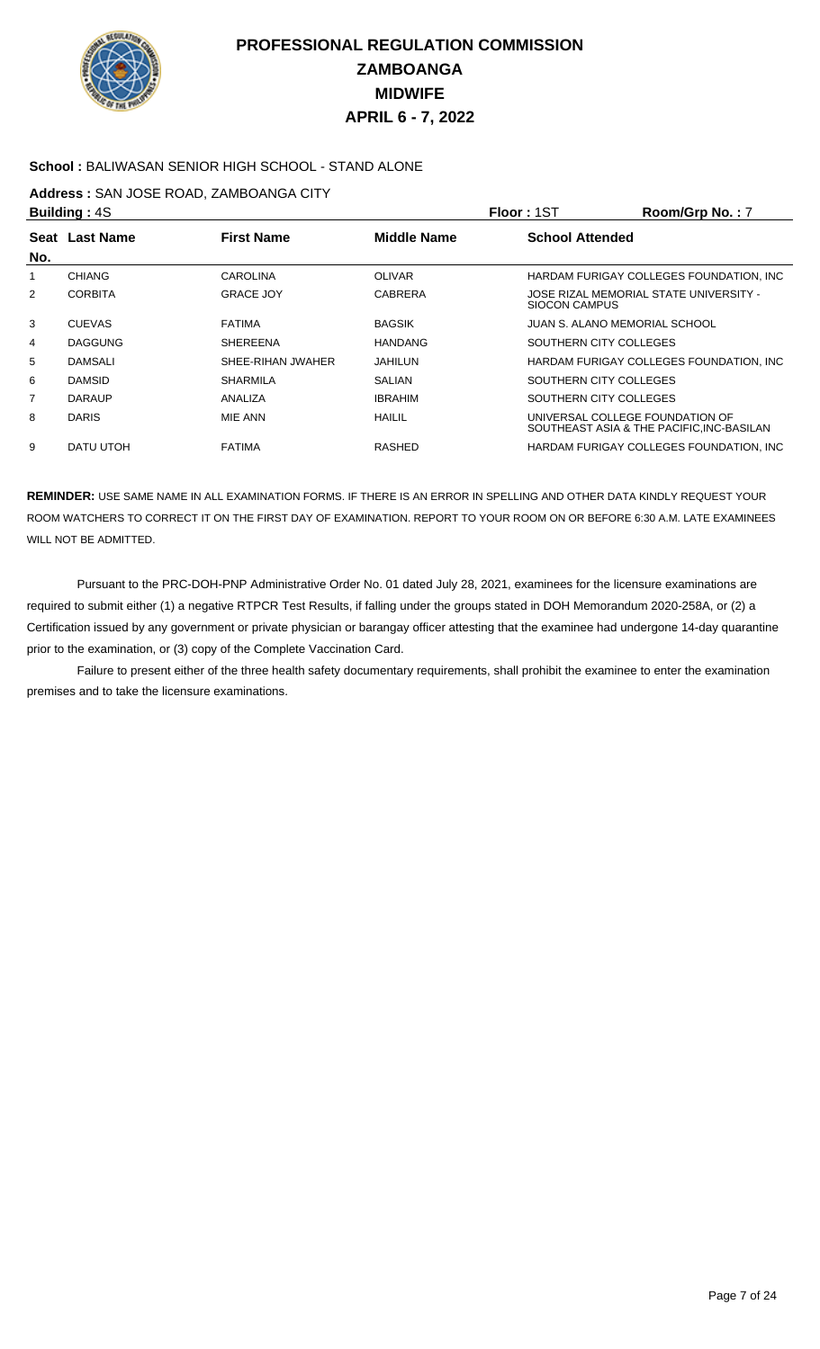

### **School :** BALIWASAN SENIOR HIGH SCHOOL - STAND ALONE

### **Address :** SAN JOSE ROAD, ZAMBOANGA CITY

| <b>Building: 4S</b> |                  |                   |                    | <b>Floor: 1ST</b>               | Room/Grp No.: 7                           |
|---------------------|------------------|-------------------|--------------------|---------------------------------|-------------------------------------------|
| Seat<br>No.         | <b>Last Name</b> | <b>First Name</b> | <b>Middle Name</b> | <b>School Attended</b>          |                                           |
|                     | <b>CHIANG</b>    | <b>CAROLINA</b>   | <b>OLIVAR</b>      |                                 | HARDAM FURIGAY COLLEGES FOUNDATION, INC.  |
| 2                   | <b>CORBITA</b>   | <b>GRACE JOY</b>  | <b>CABRERA</b>     | <b>SIOCON CAMPUS</b>            | JOSE RIZAL MEMORIAL STATE UNIVERSITY -    |
| 3                   | <b>CUEVAS</b>    | <b>FATIMA</b>     | <b>BAGSIK</b>      | JUAN S. ALANO MEMORIAL SCHOOL   |                                           |
| 4                   | <b>DAGGUNG</b>   | <b>SHEREENA</b>   | <b>HANDANG</b>     | SOUTHERN CITY COLLEGES          |                                           |
| 5                   | <b>DAMSALI</b>   | SHEE-RIHAN JWAHER | <b>JAHILUN</b>     |                                 | HARDAM FURIGAY COLLEGES FOUNDATION. INC.  |
| 6                   | <b>DAMSID</b>    | <b>SHARMILA</b>   | <b>SALIAN</b>      | SOUTHERN CITY COLLEGES          |                                           |
| $\overline{7}$      | <b>DARAUP</b>    | ANALIZA           | <b>IBRAHIM</b>     | SOUTHERN CITY COLLEGES          |                                           |
| 8                   | <b>DARIS</b>     | MIE ANN           | <b>HAILIL</b>      | UNIVERSAL COLLEGE FOUNDATION OF | SOUTHEAST ASIA & THE PACIFIC, INC-BASILAN |
| 9                   | DATU UTOH        | <b>FATIMA</b>     | <b>RASHED</b>      |                                 | HARDAM FURIGAY COLLEGES FOUNDATION. INC.  |

**REMINDER:** USE SAME NAME IN ALL EXAMINATION FORMS. IF THERE IS AN ERROR IN SPELLING AND OTHER DATA KINDLY REQUEST YOUR ROOM WATCHERS TO CORRECT IT ON THE FIRST DAY OF EXAMINATION. REPORT TO YOUR ROOM ON OR BEFORE 6:30 A.M. LATE EXAMINEES WILL NOT BE ADMITTED.

 Pursuant to the PRC-DOH-PNP Administrative Order No. 01 dated July 28, 2021, examinees for the licensure examinations are required to submit either (1) a negative RTPCR Test Results, if falling under the groups stated in DOH Memorandum 2020-258A, or (2) a Certification issued by any government or private physician or barangay officer attesting that the examinee had undergone 14-day quarantine prior to the examination, or (3) copy of the Complete Vaccination Card.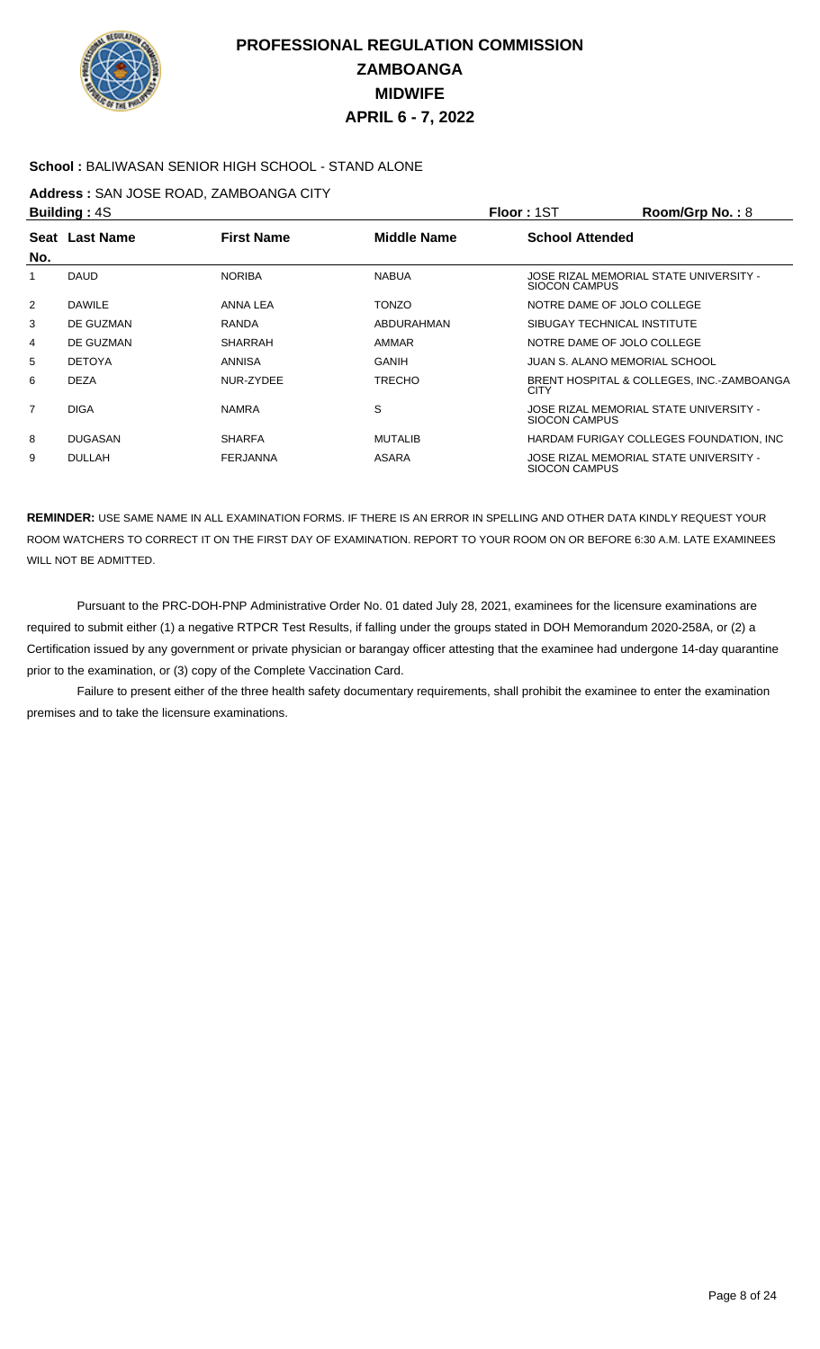

### **School :** BALIWASAN SENIOR HIGH SCHOOL - STAND ALONE

### **Address :** SAN JOSE ROAD, ZAMBOANGA CITY

|                | <b>Building: 4S</b> |                   |                    | Floor: 1ST             | Room/Grp No.: 8                           |
|----------------|---------------------|-------------------|--------------------|------------------------|-------------------------------------------|
|                | Seat Last Name      | <b>First Name</b> | <b>Middle Name</b> | <b>School Attended</b> |                                           |
| No.            |                     |                   |                    |                        |                                           |
|                | <b>DAUD</b>         | <b>NORIBA</b>     | <b>NABUA</b>       | SIOCON CAMPUS          | JOSE RIZAL MEMORIAL STATE UNIVERSITY -    |
| 2              | <b>DAWILE</b>       | ANNA LEA          | <b>TONZO</b>       |                        | NOTRE DAME OF JOLO COLLEGE                |
| 3              | DE GUZMAN           | <b>RANDA</b>      | ABDURAHMAN         |                        | SIBUGAY TECHNICAL INSTITUTE               |
| 4              | DE GUZMAN           | <b>SHARRAH</b>    | AMMAR              |                        | NOTRE DAME OF JOLO COLLEGE                |
| 5              | <b>DETOYA</b>       | ANNISA            | GANIH              |                        | JUAN S. ALANO MEMORIAL SCHOOL             |
| 6              | <b>DEZA</b>         | NUR-ZYDEE         | <b>TRECHO</b>      | <b>CITY</b>            | BRENT HOSPITAL & COLLEGES, INC.-ZAMBOANGA |
| $\overline{7}$ | <b>DIGA</b>         | <b>NAMRA</b>      | S                  | <b>SIOCON CAMPUS</b>   | JOSE RIZAL MEMORIAL STATE UNIVERSITY -    |
| 8              | <b>DUGASAN</b>      | <b>SHARFA</b>     | <b>MUTALIB</b>     |                        | HARDAM FURIGAY COLLEGES FOUNDATION, INC.  |
| 9              | <b>DULLAH</b>       | <b>FERJANNA</b>   | <b>ASARA</b>       | SIOCON CAMPUS          | JOSE RIZAL MEMORIAL STATE UNIVERSITY -    |

**REMINDER:** USE SAME NAME IN ALL EXAMINATION FORMS. IF THERE IS AN ERROR IN SPELLING AND OTHER DATA KINDLY REQUEST YOUR ROOM WATCHERS TO CORRECT IT ON THE FIRST DAY OF EXAMINATION. REPORT TO YOUR ROOM ON OR BEFORE 6:30 A.M. LATE EXAMINEES WILL NOT BE ADMITTED.

 Pursuant to the PRC-DOH-PNP Administrative Order No. 01 dated July 28, 2021, examinees for the licensure examinations are required to submit either (1) a negative RTPCR Test Results, if falling under the groups stated in DOH Memorandum 2020-258A, or (2) a Certification issued by any government or private physician or barangay officer attesting that the examinee had undergone 14-day quarantine prior to the examination, or (3) copy of the Complete Vaccination Card.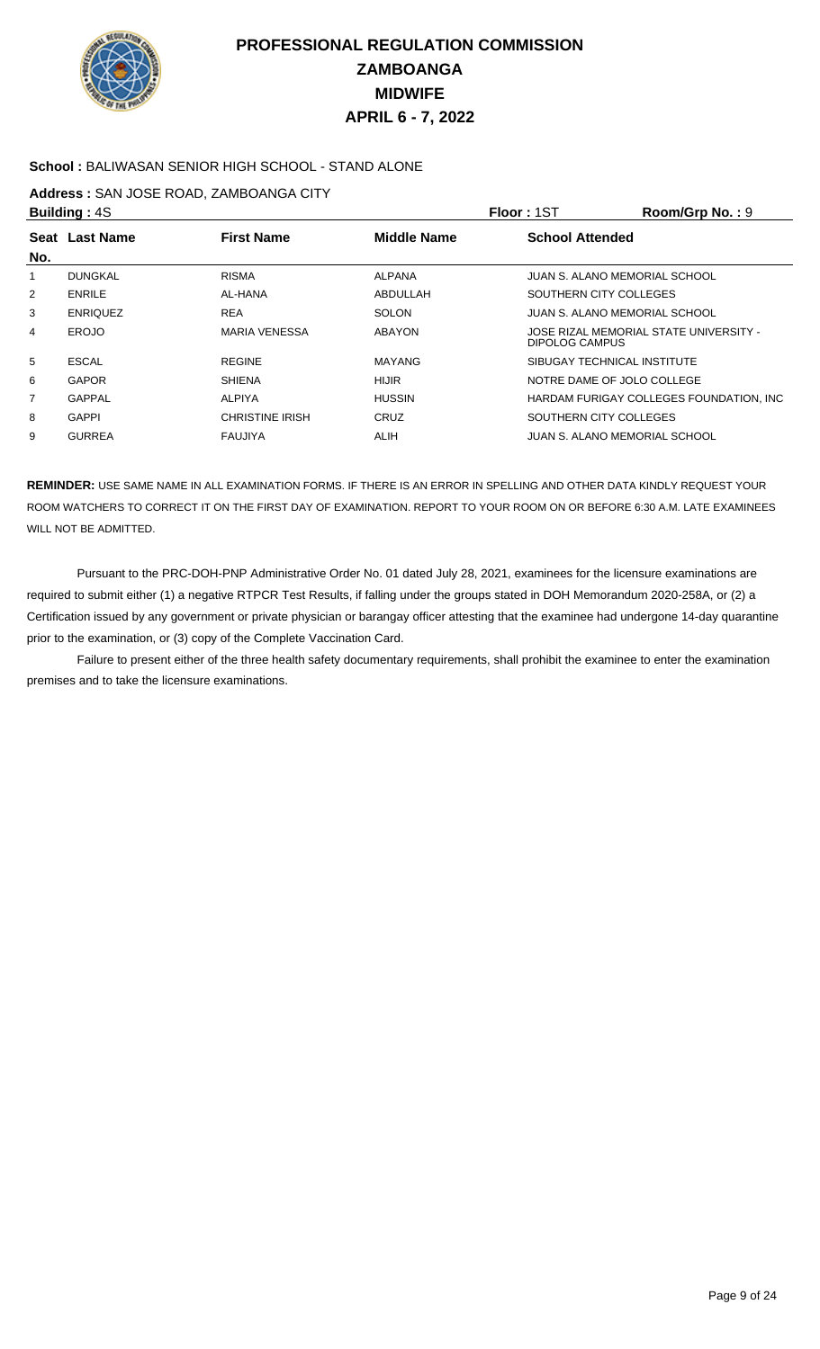

### **School :** BALIWASAN SENIOR HIGH SCHOOL - STAND ALONE

### **Address :** SAN JOSE ROAD, ZAMBOANGA CITY

|     | <b>Building: 4S</b> |                        |                    | Floor: 1ST             | $Room/Grp$ No.: $9$                      |
|-----|---------------------|------------------------|--------------------|------------------------|------------------------------------------|
|     | Seat Last Name      | <b>First Name</b>      | <b>Middle Name</b> | <b>School Attended</b> |                                          |
| No. |                     |                        |                    |                        |                                          |
|     | <b>DUNGKAL</b>      | <b>RISMA</b>           | <b>ALPANA</b>      |                        | JUAN S. ALANO MEMORIAL SCHOOL            |
| 2   | <b>ENRILE</b>       | AL-HANA                | ABDULLAH           |                        | SOUTHERN CITY COLLEGES                   |
| 3   | <b>ENRIQUEZ</b>     | <b>REA</b>             | <b>SOLON</b>       |                        | JUAN S. ALANO MEMORIAL SCHOOL            |
| 4   | <b>EROJO</b>        | <b>MARIA VENESSA</b>   | ABAYON             | DIPOLOG CAMPUS         | JOSE RIZAL MEMORIAL STATE UNIVERSITY -   |
| 5   | <b>ESCAL</b>        | <b>REGINE</b>          | <b>MAYANG</b>      |                        | SIBUGAY TECHNICAL INSTITUTE              |
| 6   | <b>GAPOR</b>        | <b>SHIENA</b>          | <b>HIJIR</b>       |                        | NOTRE DAME OF JOLO COLLEGE               |
| 7   | <b>GAPPAL</b>       | ALPIYA                 | <b>HUSSIN</b>      |                        | HARDAM FURIGAY COLLEGES FOUNDATION, INC. |
| 8   | <b>GAPPI</b>        | <b>CHRISTINE IRISH</b> | CRUZ               |                        | SOUTHERN CITY COLLEGES                   |
| 9   | <b>GURREA</b>       | <b>FAUJIYA</b>         | ALIH               |                        | JUAN S. ALANO MEMORIAL SCHOOL            |

**REMINDER:** USE SAME NAME IN ALL EXAMINATION FORMS. IF THERE IS AN ERROR IN SPELLING AND OTHER DATA KINDLY REQUEST YOUR ROOM WATCHERS TO CORRECT IT ON THE FIRST DAY OF EXAMINATION. REPORT TO YOUR ROOM ON OR BEFORE 6:30 A.M. LATE EXAMINEES WILL NOT BE ADMITTED.

 Pursuant to the PRC-DOH-PNP Administrative Order No. 01 dated July 28, 2021, examinees for the licensure examinations are required to submit either (1) a negative RTPCR Test Results, if falling under the groups stated in DOH Memorandum 2020-258A, or (2) a Certification issued by any government or private physician or barangay officer attesting that the examinee had undergone 14-day quarantine prior to the examination, or (3) copy of the Complete Vaccination Card.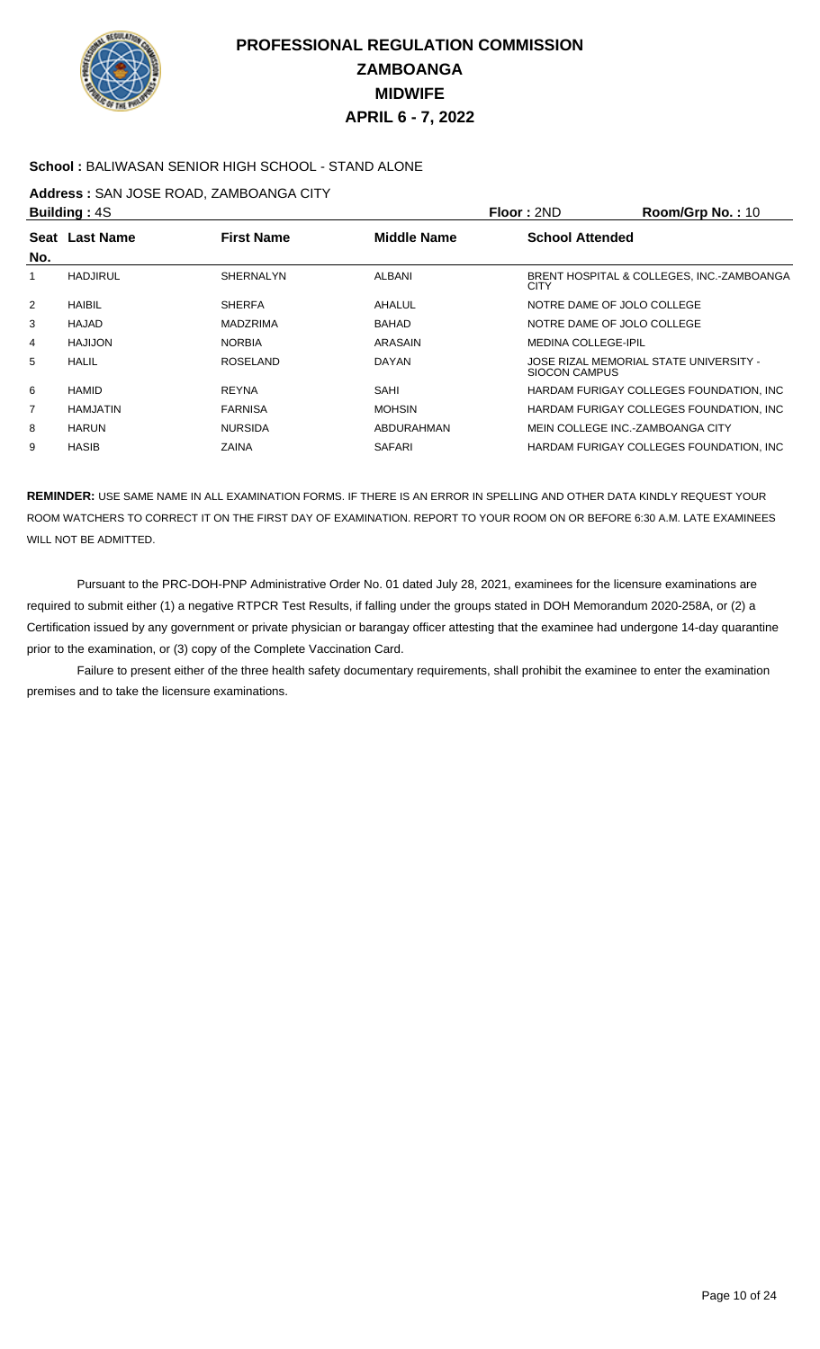

### **School :** BALIWASAN SENIOR HIGH SCHOOL - STAND ALONE

### **Address :** SAN JOSE ROAD, ZAMBOANGA CITY

|                | <b>Building: 4S</b> |                   |                    | Floor: 2ND                       | Room/Grp No.: 10                          |
|----------------|---------------------|-------------------|--------------------|----------------------------------|-------------------------------------------|
|                | Seat Last Name      | <b>First Name</b> | <b>Middle Name</b> | <b>School Attended</b>           |                                           |
| No.            |                     |                   |                    |                                  |                                           |
|                | <b>HADJIRUL</b>     | <b>SHERNALYN</b>  | ALBANI             | <b>CITY</b>                      | BRENT HOSPITAL & COLLEGES, INC.-ZAMBOANGA |
| $\overline{2}$ | <b>HAIBIL</b>       | <b>SHERFA</b>     | AHALUL             | NOTRE DAME OF JOLO COLLEGE       |                                           |
| 3              | HAJAD               | <b>MADZRIMA</b>   | <b>BAHAD</b>       | NOTRE DAME OF JOLO COLLEGE       |                                           |
| 4              | <b>HAJIJON</b>      | <b>NORBIA</b>     | ARASAIN            | <b>MEDINA COLLEGE-IPIL</b>       |                                           |
| 5              | HALIL               | <b>ROSELAND</b>   | <b>DAYAN</b>       | SIOCON CAMPUS                    | JOSE RIZAL MEMORIAL STATE UNIVERSITY -    |
| 6              | HAMID               | <b>REYNA</b>      | SAHI               |                                  | HARDAM FURIGAY COLLEGES FOUNDATION, INC.  |
| 7              | <b>HAMJATIN</b>     | <b>FARNISA</b>    | <b>MOHSIN</b>      |                                  | HARDAM FURIGAY COLLEGES FOUNDATION. INC.  |
| 8              | <b>HARUN</b>        | <b>NURSIDA</b>    | ABDURAHMAN         | MEIN COLLEGE INC.-ZAMBOANGA CITY |                                           |
| 9              | <b>HASIB</b>        | ZAINA             | SAFARI             |                                  | HARDAM FURIGAY COLLEGES FOUNDATION. INC.  |

**REMINDER:** USE SAME NAME IN ALL EXAMINATION FORMS. IF THERE IS AN ERROR IN SPELLING AND OTHER DATA KINDLY REQUEST YOUR ROOM WATCHERS TO CORRECT IT ON THE FIRST DAY OF EXAMINATION. REPORT TO YOUR ROOM ON OR BEFORE 6:30 A.M. LATE EXAMINEES WILL NOT BE ADMITTED.

 Pursuant to the PRC-DOH-PNP Administrative Order No. 01 dated July 28, 2021, examinees for the licensure examinations are required to submit either (1) a negative RTPCR Test Results, if falling under the groups stated in DOH Memorandum 2020-258A, or (2) a Certification issued by any government or private physician or barangay officer attesting that the examinee had undergone 14-day quarantine prior to the examination, or (3) copy of the Complete Vaccination Card.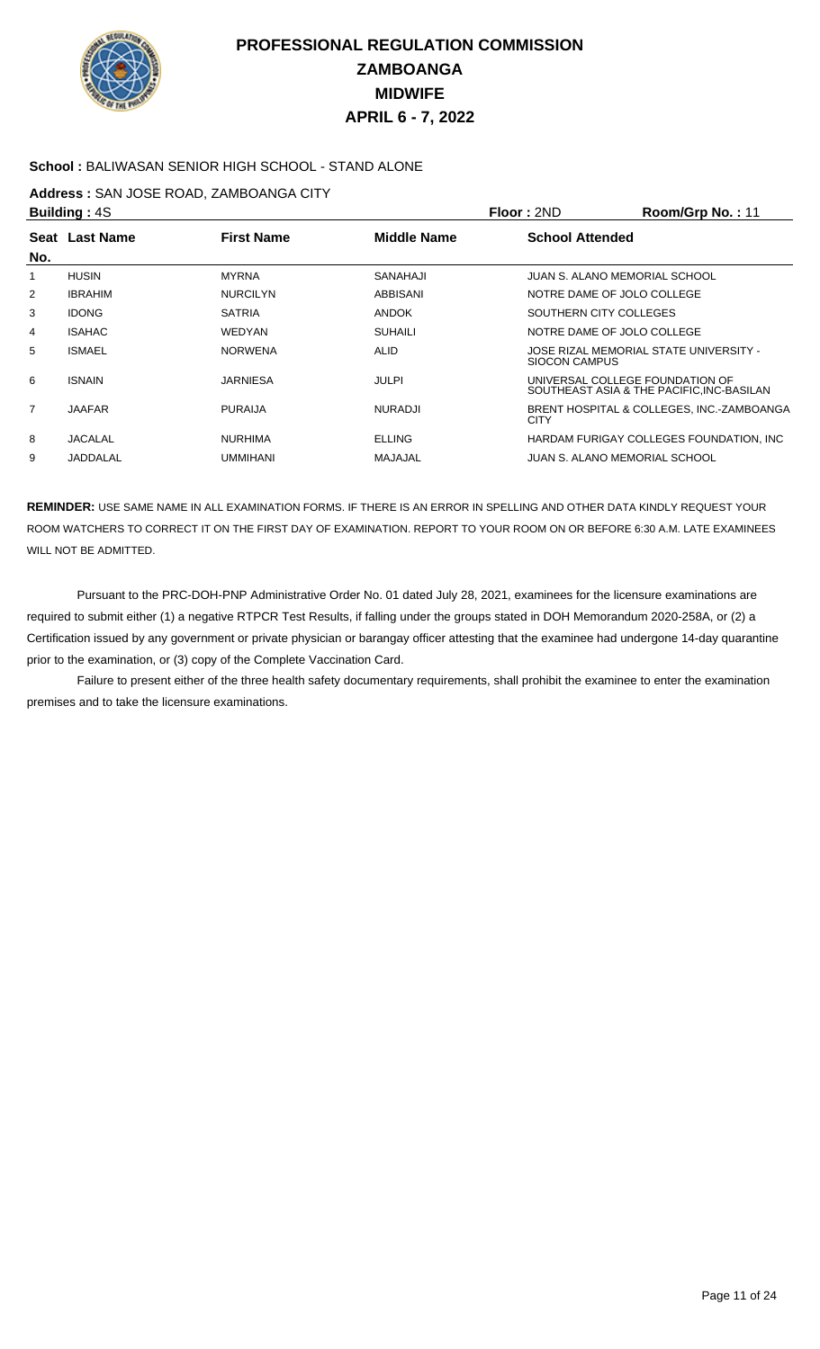

### **School :** BALIWASAN SENIOR HIGH SCHOOL - STAND ALONE

### **Address :** SAN JOSE ROAD, ZAMBOANGA CITY

|     | <b>Building: 4S</b> |                   |                    | Floor: 2ND             | Room/Grp No.: 11                                                             |
|-----|---------------------|-------------------|--------------------|------------------------|------------------------------------------------------------------------------|
|     | Seat Last Name      | <b>First Name</b> | <b>Middle Name</b> | <b>School Attended</b> |                                                                              |
| No. |                     |                   |                    |                        |                                                                              |
|     | <b>HUSIN</b>        | <b>MYRNA</b>      | SANAHAJI           |                        | JUAN S. ALANO MEMORIAL SCHOOL                                                |
| 2   | <b>IBRAHIM</b>      | <b>NURCILYN</b>   | ABBISANI           |                        | NOTRE DAME OF JOLO COLLEGE                                                   |
| 3   | <b>IDONG</b>        | <b>SATRIA</b>     | <b>ANDOK</b>       | SOUTHERN CITY COLLEGES |                                                                              |
| 4   | <b>ISAHAC</b>       | <b>WEDYAN</b>     | <b>SUHAILI</b>     |                        | NOTRE DAME OF JOLO COLLEGE                                                   |
| 5   | <b>ISMAEL</b>       | <b>NORWENA</b>    | <b>ALID</b>        | SIOCON CAMPUS          | JOSE RIZAL MEMORIAL STATE UNIVERSITY -                                       |
| 6   | <b>ISNAIN</b>       | <b>JARNIESA</b>   | JULPI              |                        | UNIVERSAL COLLEGE FOUNDATION OF<br>SOUTHEAST ASIA & THE PACIFIC, INC-BASILAN |
| 7   | <b>JAAFAR</b>       | <b>PURAIJA</b>    | <b>NURADJI</b>     | <b>CITY</b>            | BRENT HOSPITAL & COLLEGES, INC.-ZAMBOANGA                                    |
| 8   | <b>JACALAL</b>      | <b>NURHIMA</b>    | <b>ELLING</b>      |                        | HARDAM FURIGAY COLLEGES FOUNDATION. INC.                                     |
| 9   | JADDALAL            | <b>UMMIHANI</b>   | MAJAJAL            |                        | JUAN S. ALANO MEMORIAL SCHOOL                                                |
|     |                     |                   |                    |                        |                                                                              |

**REMINDER:** USE SAME NAME IN ALL EXAMINATION FORMS. IF THERE IS AN ERROR IN SPELLING AND OTHER DATA KINDLY REQUEST YOUR ROOM WATCHERS TO CORRECT IT ON THE FIRST DAY OF EXAMINATION. REPORT TO YOUR ROOM ON OR BEFORE 6:30 A.M. LATE EXAMINEES WILL NOT BE ADMITTED.

 Pursuant to the PRC-DOH-PNP Administrative Order No. 01 dated July 28, 2021, examinees for the licensure examinations are required to submit either (1) a negative RTPCR Test Results, if falling under the groups stated in DOH Memorandum 2020-258A, or (2) a Certification issued by any government or private physician or barangay officer attesting that the examinee had undergone 14-day quarantine prior to the examination, or (3) copy of the Complete Vaccination Card.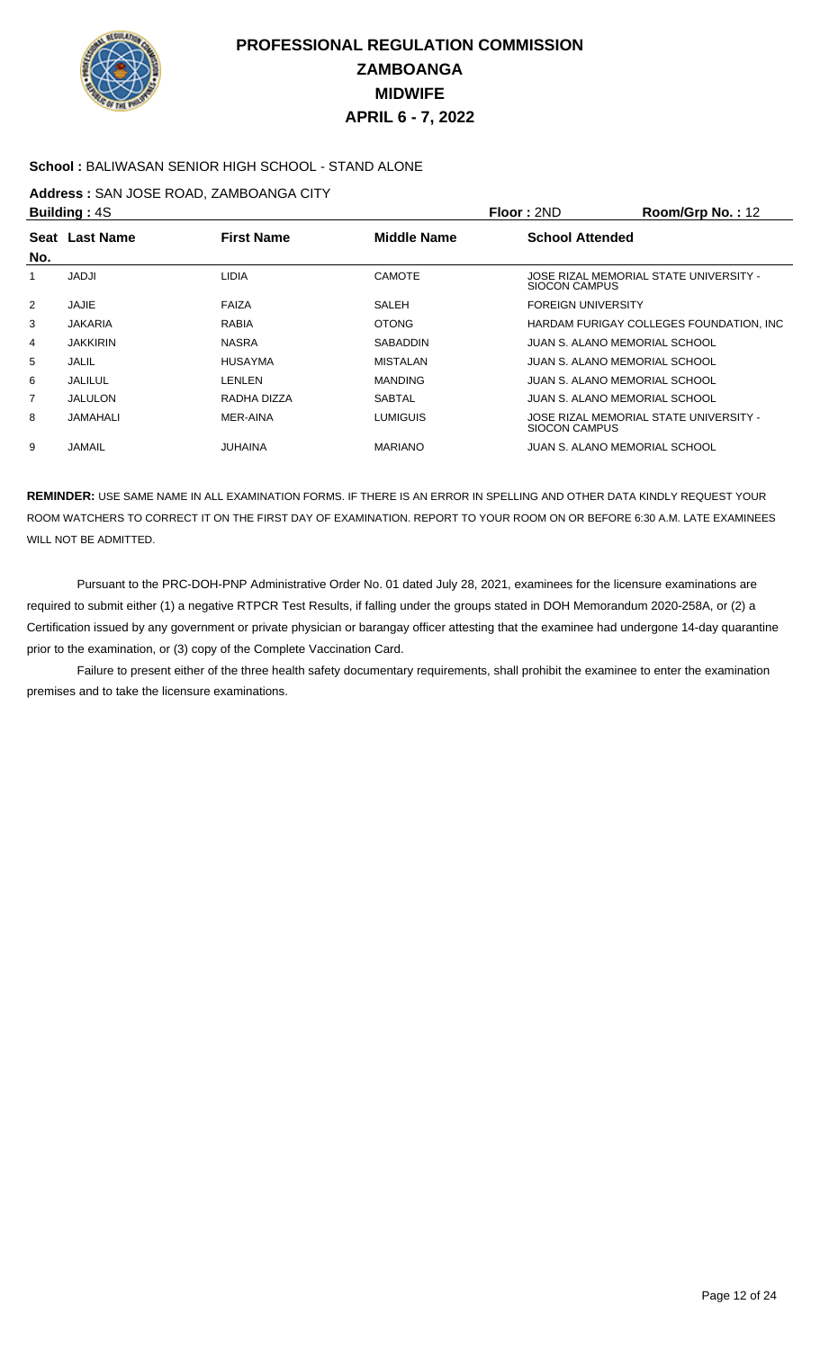

### **School :** BALIWASAN SENIOR HIGH SCHOOL - STAND ALONE

### **Address :** SAN JOSE ROAD, ZAMBOANGA CITY

|                | <b>Building: 4S</b> |                   |                    | Floor: 2ND                    | Room/Grp No.: 12                         |
|----------------|---------------------|-------------------|--------------------|-------------------------------|------------------------------------------|
| No.            | Seat Last Name      | <b>First Name</b> | <b>Middle Name</b> | <b>School Attended</b>        |                                          |
|                | <b>JADJI</b>        | <b>LIDIA</b>      | CAMOTE             | SIOCON CAMPUS                 | JOSE RIZAL MEMORIAL STATE UNIVERSITY -   |
| 2              | JAJIE               | FAIZA             | SALEH              | <b>FOREIGN UNIVERSITY</b>     |                                          |
| 3              | <b>JAKARIA</b>      | <b>RABIA</b>      | <b>OTONG</b>       |                               | HARDAM FURIGAY COLLEGES FOUNDATION, INC. |
| 4              | <b>JAKKIRIN</b>     | <b>NASRA</b>      | <b>SABADDIN</b>    | JUAN S. ALANO MEMORIAL SCHOOL |                                          |
| 5              | JALIL               | <b>HUSAYMA</b>    | MISTALAN           | JUAN S. ALANO MEMORIAL SCHOOL |                                          |
| 6              | JALILUL             | LENLEN            | <b>MANDING</b>     | JUAN S. ALANO MEMORIAL SCHOOL |                                          |
| $\overline{7}$ | JALULON             | RADHA DIZZA       | <b>SABTAL</b>      | JUAN S. ALANO MEMORIAL SCHOOL |                                          |
| 8              | JAMAHALI            | <b>MER-AINA</b>   | <b>LUMIGUIS</b>    | SIOCON CAMPUS                 | JOSE RIZAL MEMORIAL STATE UNIVERSITY -   |
| 9              | <b>JAMAIL</b>       | <b>JUHAINA</b>    | <b>MARIANO</b>     | JUAN S. ALANO MEMORIAL SCHOOL |                                          |
|                |                     |                   |                    |                               |                                          |

**REMINDER:** USE SAME NAME IN ALL EXAMINATION FORMS. IF THERE IS AN ERROR IN SPELLING AND OTHER DATA KINDLY REQUEST YOUR ROOM WATCHERS TO CORRECT IT ON THE FIRST DAY OF EXAMINATION. REPORT TO YOUR ROOM ON OR BEFORE 6:30 A.M. LATE EXAMINEES WILL NOT BE ADMITTED.

 Pursuant to the PRC-DOH-PNP Administrative Order No. 01 dated July 28, 2021, examinees for the licensure examinations are required to submit either (1) a negative RTPCR Test Results, if falling under the groups stated in DOH Memorandum 2020-258A, or (2) a Certification issued by any government or private physician or barangay officer attesting that the examinee had undergone 14-day quarantine prior to the examination, or (3) copy of the Complete Vaccination Card.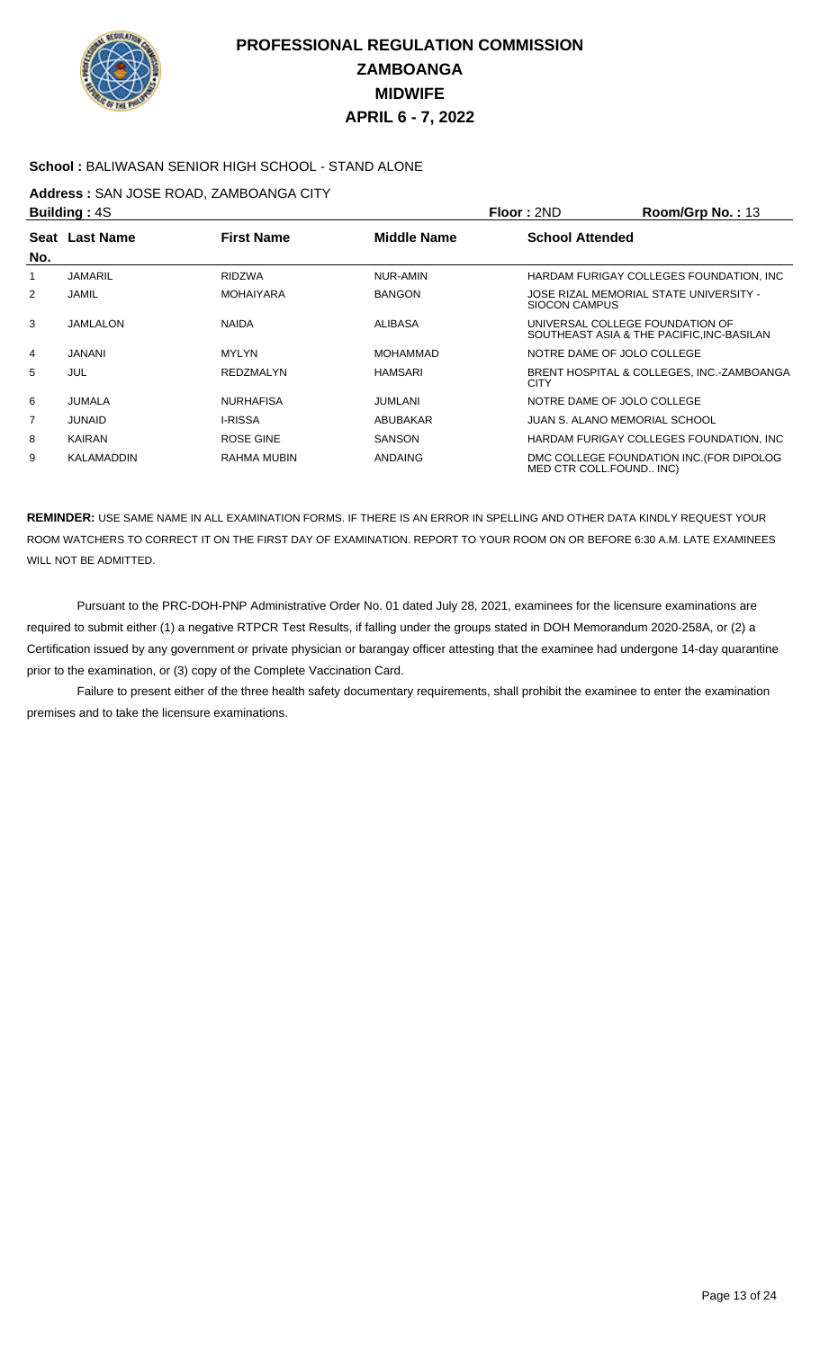

### **School :** BALIWASAN SENIOR HIGH SCHOOL - STAND ALONE

### **Address :** SAN JOSE ROAD, ZAMBOANGA CITY

|                                                           | <b>Building: 4S</b> |                        |                 | Floor: 2ND           | Room/Grp No.: 13                                                             |
|-----------------------------------------------------------|---------------------|------------------------|-----------------|----------------------|------------------------------------------------------------------------------|
| <b>First Name</b><br><b>Middle Name</b><br>Seat Last Name |                     | <b>School Attended</b> |                 |                      |                                                                              |
| No.                                                       |                     |                        |                 |                      |                                                                              |
|                                                           | <b>JAMARIL</b>      | <b>RIDZWA</b>          | NUR-AMIN        |                      | HARDAM FURIGAY COLLEGES FOUNDATION, INC.                                     |
| 2                                                         | JAMIL               | <b>MOHAIYARA</b>       | <b>BANGON</b>   | <b>SIOCON CAMPUS</b> | JOSE RIZAL MEMORIAL STATE UNIVERSITY -                                       |
| 3                                                         | JAMLALON            | <b>NAIDA</b>           | <b>ALIBASA</b>  |                      | UNIVERSAL COLLEGE FOUNDATION OF<br>SOUTHEAST ASIA & THE PACIFIC, INC-BASILAN |
| 4                                                         | JANANI              | <b>MYLYN</b>           | <b>MOHAMMAD</b> |                      | NOTRE DAME OF JOLO COLLEGE                                                   |
| 5                                                         | <b>JUL</b>          | REDZMALYN              | <b>HAMSARI</b>  | <b>CITY</b>          | BRENT HOSPITAL & COLLEGES, INC.-ZAMBOANGA                                    |
| 6                                                         | JUMALA              | <b>NURHAFISA</b>       | JUMLANI         |                      | NOTRE DAME OF JOLO COLLEGE                                                   |
| $\overline{7}$                                            | JUNAID              | <b>I-RISSA</b>         | ABUBAKAR        |                      | JUAN S. ALANO MEMORIAL SCHOOL                                                |
| 8                                                         | <b>KAIRAN</b>       | ROSE GINE              | <b>SANSON</b>   |                      | HARDAM FURIGAY COLLEGES FOUNDATION, INC.                                     |
| 9                                                         | KALAMADDIN          | RAHMA MUBIN            | <b>ANDAING</b>  |                      | DMC COLLEGE FOUNDATION INC. (FOR DIPOLOG<br>MED CTR COLL.FOUND INC)          |

**REMINDER:** USE SAME NAME IN ALL EXAMINATION FORMS. IF THERE IS AN ERROR IN SPELLING AND OTHER DATA KINDLY REQUEST YOUR ROOM WATCHERS TO CORRECT IT ON THE FIRST DAY OF EXAMINATION. REPORT TO YOUR ROOM ON OR BEFORE 6:30 A.M. LATE EXAMINEES WILL NOT BE ADMITTED.

 Pursuant to the PRC-DOH-PNP Administrative Order No. 01 dated July 28, 2021, examinees for the licensure examinations are required to submit either (1) a negative RTPCR Test Results, if falling under the groups stated in DOH Memorandum 2020-258A, or (2) a Certification issued by any government or private physician or barangay officer attesting that the examinee had undergone 14-day quarantine prior to the examination, or (3) copy of the Complete Vaccination Card.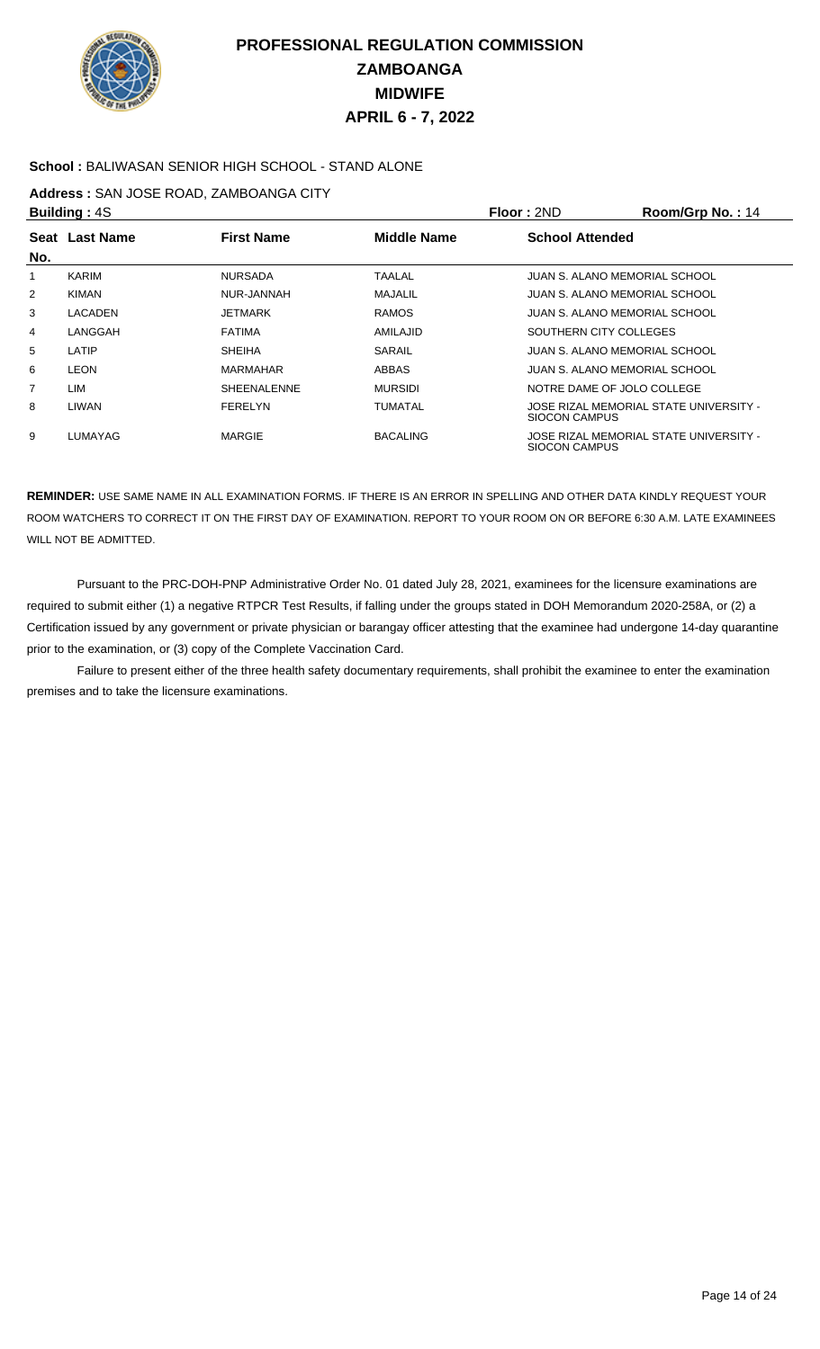

### **School :** BALIWASAN SENIOR HIGH SCHOOL - STAND ALONE

### **Address :** SAN JOSE ROAD, ZAMBOANGA CITY

|                | <b>Building: 4S</b> |                    |                    | Floor: 2ND             | Room/Grp No.: 14                       |
|----------------|---------------------|--------------------|--------------------|------------------------|----------------------------------------|
|                | Seat Last Name      | <b>First Name</b>  | <b>Middle Name</b> | <b>School Attended</b> |                                        |
| No.            |                     |                    |                    |                        |                                        |
|                | KARIM               | <b>NURSADA</b>     | TAALAL             |                        | JUAN S. ALANO MEMORIAL SCHOOL          |
| $\overline{2}$ | <b>KIMAN</b>        | NUR-JANNAH         | MAJALIL            |                        | JUAN S. ALANO MEMORIAL SCHOOL          |
| 3              | LACADEN             | JETMARK            | <b>RAMOS</b>       |                        | JUAN S. ALANO MEMORIAL SCHOOL          |
| 4              | LANGGAH             | <b>FATIMA</b>      | AMILAJID           |                        | SOUTHERN CITY COLLEGES                 |
| 5              | LATIP               | <b>SHEIHA</b>      | <b>SARAIL</b>      |                        | JUAN S. ALANO MEMORIAL SCHOOL          |
| 6              | <b>LEON</b>         | MARMAHAR           | ABBAS              |                        | JUAN S. ALANO MEMORIAL SCHOOL          |
| $\overline{7}$ | LIM                 | <b>SHEENALENNE</b> | <b>MURSIDI</b>     |                        | NOTRE DAME OF JOLO COLLEGE             |
| 8              | LIWAN               | <b>FERELYN</b>     | <b>TUMATAL</b>     | SIOCON CAMPUS          | JOSE RIZAL MEMORIAL STATE UNIVERSITY - |
| 9              | LUMAYAG             | <b>MARGIE</b>      | <b>BACALING</b>    | SIOCON CAMPUS          | JOSE RIZAL MEMORIAL STATE UNIVERSITY - |

**REMINDER:** USE SAME NAME IN ALL EXAMINATION FORMS. IF THERE IS AN ERROR IN SPELLING AND OTHER DATA KINDLY REQUEST YOUR ROOM WATCHERS TO CORRECT IT ON THE FIRST DAY OF EXAMINATION. REPORT TO YOUR ROOM ON OR BEFORE 6:30 A.M. LATE EXAMINEES WILL NOT BE ADMITTED.

 Pursuant to the PRC-DOH-PNP Administrative Order No. 01 dated July 28, 2021, examinees for the licensure examinations are required to submit either (1) a negative RTPCR Test Results, if falling under the groups stated in DOH Memorandum 2020-258A, or (2) a Certification issued by any government or private physician or barangay officer attesting that the examinee had undergone 14-day quarantine prior to the examination, or (3) copy of the Complete Vaccination Card.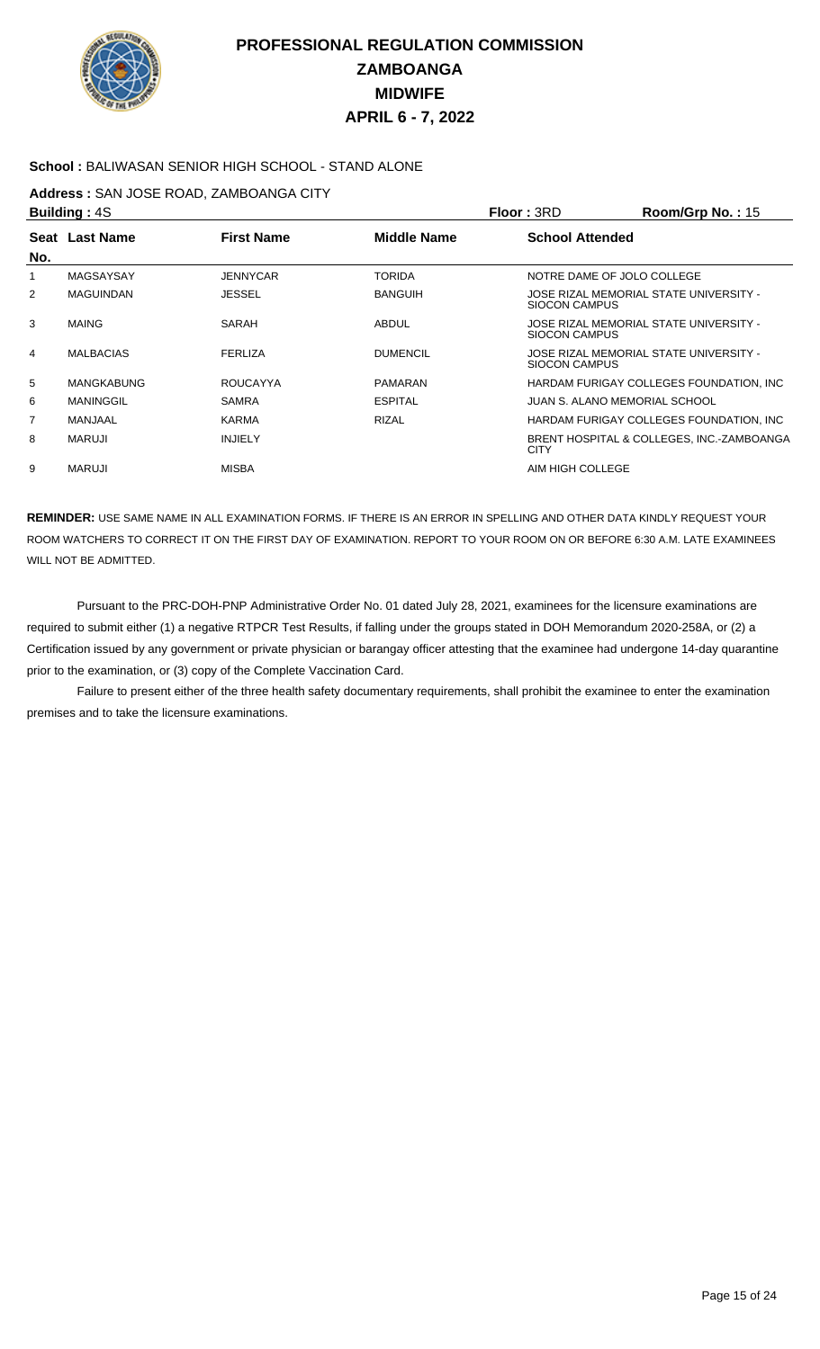

### **School :** BALIWASAN SENIOR HIGH SCHOOL - STAND ALONE

### **Address :** SAN JOSE ROAD, ZAMBOANGA CITY

|                | <b>Building: 4S</b> |                   |                 | <b>Floor: 3RD</b>      | Room/Grp No.: 15                          |
|----------------|---------------------|-------------------|-----------------|------------------------|-------------------------------------------|
|                | Seat Last Name      | <b>First Name</b> | Middle Name     | <b>School Attended</b> |                                           |
| No.            |                     |                   |                 |                        |                                           |
|                | MAGSAYSAY           | <b>JENNYCAR</b>   | <b>TORIDA</b>   |                        | NOTRE DAME OF JOLO COLLEGE                |
| $\overline{2}$ | <b>MAGUINDAN</b>    | <b>JESSEL</b>     | <b>BANGUIH</b>  | SIOCON CAMPUS          | JOSE RIZAL MEMORIAL STATE UNIVERSITY -    |
| 3              | <b>MAING</b>        | SARAH             | ABDUL           | <b>SIOCON CAMPUS</b>   | JOSE RIZAL MEMORIAL STATE UNIVERSITY -    |
| 4              | <b>MALBACIAS</b>    | <b>FERLIZA</b>    | <b>DUMENCIL</b> | SIOCON CAMPUS          | JOSE RIZAL MEMORIAL STATE UNIVERSITY -    |
| 5              | <b>MANGKABUNG</b>   | <b>ROUCAYYA</b>   | <b>PAMARAN</b>  |                        | HARDAM FURIGAY COLLEGES FOUNDATION, INC.  |
| 6              | MANINGGIL           | <b>SAMRA</b>      | <b>ESPITAL</b>  |                        | JUAN S. ALANO MEMORIAL SCHOOL             |
| $\overline{7}$ | MANJAAL             | <b>KARMA</b>      | <b>RIZAL</b>    |                        | HARDAM FURIGAY COLLEGES FOUNDATION, INC.  |
| 8              | MARUJI              | <b>INJIELY</b>    |                 | <b>CITY</b>            | BRENT HOSPITAL & COLLEGES, INC.-ZAMBOANGA |
| 9              | MARUJI              | <b>MISBA</b>      |                 | AIM HIGH COLLEGE       |                                           |

**REMINDER:** USE SAME NAME IN ALL EXAMINATION FORMS. IF THERE IS AN ERROR IN SPELLING AND OTHER DATA KINDLY REQUEST YOUR ROOM WATCHERS TO CORRECT IT ON THE FIRST DAY OF EXAMINATION. REPORT TO YOUR ROOM ON OR BEFORE 6:30 A.M. LATE EXAMINEES WILL NOT BE ADMITTED.

 Pursuant to the PRC-DOH-PNP Administrative Order No. 01 dated July 28, 2021, examinees for the licensure examinations are required to submit either (1) a negative RTPCR Test Results, if falling under the groups stated in DOH Memorandum 2020-258A, or (2) a Certification issued by any government or private physician or barangay officer attesting that the examinee had undergone 14-day quarantine prior to the examination, or (3) copy of the Complete Vaccination Card.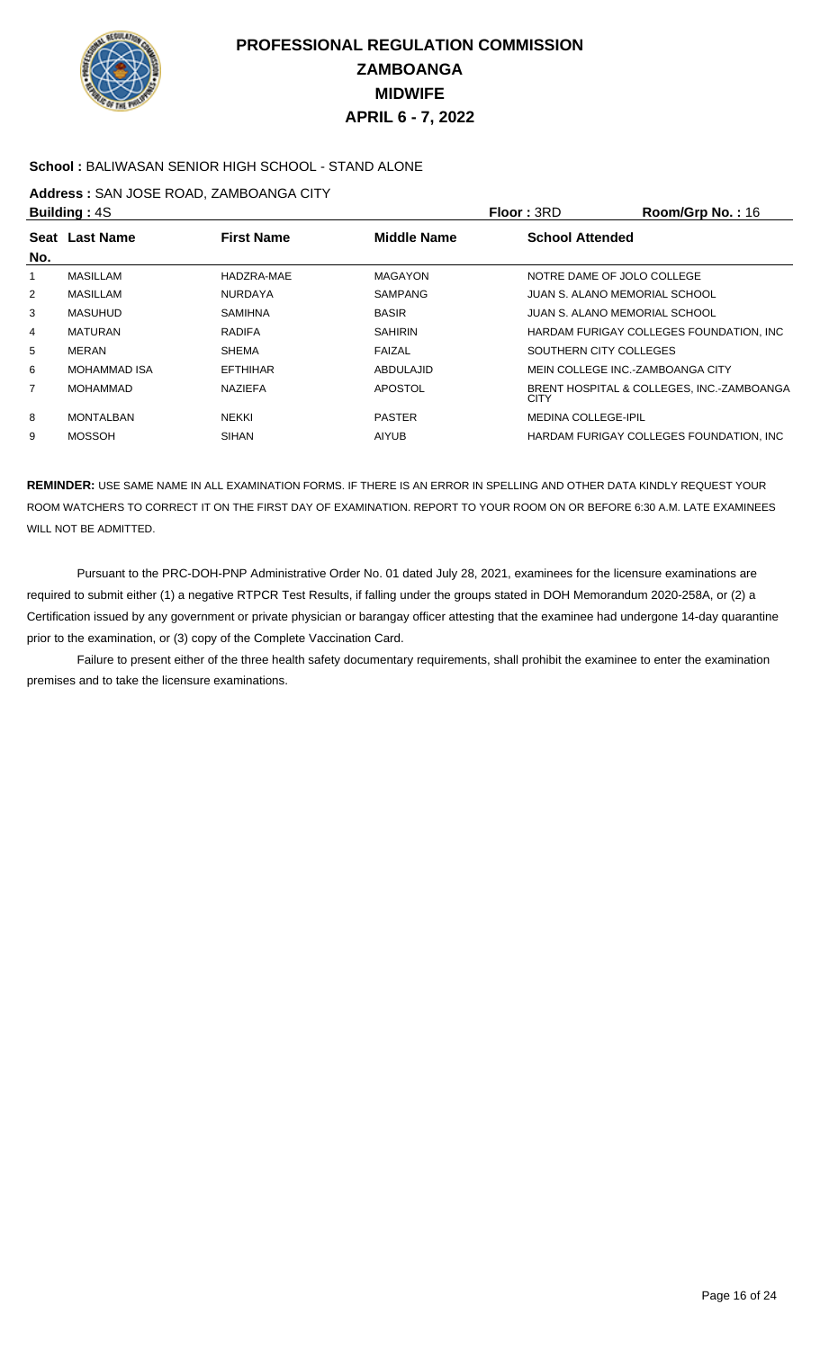

### **School :** BALIWASAN SENIOR HIGH SCHOOL - STAND ALONE

### **Address :** SAN JOSE ROAD, ZAMBOANGA CITY

|                | <b>Building: 4S</b> |                   |                    | <b>Floor: 3RD</b>          | Room/Grp No.: 16                          |
|----------------|---------------------|-------------------|--------------------|----------------------------|-------------------------------------------|
|                | Seat Last Name      | <b>First Name</b> | <b>Middle Name</b> | <b>School Attended</b>     |                                           |
| No.            |                     |                   |                    |                            |                                           |
|                | <b>MASILLAM</b>     | HADZRA-MAE        | <b>MAGAYON</b>     |                            | NOTRE DAME OF JOLO COLLEGE                |
| 2              | MASILLAM            | <b>NURDAYA</b>    | SAMPANG            |                            | JUAN S. ALANO MEMORIAL SCHOOL             |
| 3              | MASUHUD             | <b>SAMIHNA</b>    | <b>BASIR</b>       |                            | JUAN S. ALANO MEMORIAL SCHOOL             |
| 4              | <b>MATURAN</b>      | <b>RADIFA</b>     | <b>SAHIRIN</b>     |                            | HARDAM FURIGAY COLLEGES FOUNDATION, INC.  |
| 5              | <b>MERAN</b>        | <b>SHEMA</b>      | FAIZAL             |                            | SOUTHERN CITY COLLEGES                    |
| 6              | <b>MOHAMMAD ISA</b> | <b>EFTHIHAR</b>   | ABDULAJID          |                            | MEIN COLLEGE INC.-ZAMBOANGA CITY          |
| $\overline{7}$ | MOHAMMAD            | <b>NAZIEFA</b>    | <b>APOSTOL</b>     | <b>CITY</b>                | BRENT HOSPITAL & COLLEGES, INC.-ZAMBOANGA |
| 8              | <b>MONTALBAN</b>    | <b>NEKKI</b>      | <b>PASTER</b>      | <b>MEDINA COLLEGE-IPIL</b> |                                           |
| 9              | <b>MOSSOH</b>       | <b>SIHAN</b>      | <b>AIYUB</b>       |                            | HARDAM FURIGAY COLLEGES FOUNDATION. INC.  |

**REMINDER:** USE SAME NAME IN ALL EXAMINATION FORMS. IF THERE IS AN ERROR IN SPELLING AND OTHER DATA KINDLY REQUEST YOUR ROOM WATCHERS TO CORRECT IT ON THE FIRST DAY OF EXAMINATION. REPORT TO YOUR ROOM ON OR BEFORE 6:30 A.M. LATE EXAMINEES WILL NOT BE ADMITTED.

 Pursuant to the PRC-DOH-PNP Administrative Order No. 01 dated July 28, 2021, examinees for the licensure examinations are required to submit either (1) a negative RTPCR Test Results, if falling under the groups stated in DOH Memorandum 2020-258A, or (2) a Certification issued by any government or private physician or barangay officer attesting that the examinee had undergone 14-day quarantine prior to the examination, or (3) copy of the Complete Vaccination Card.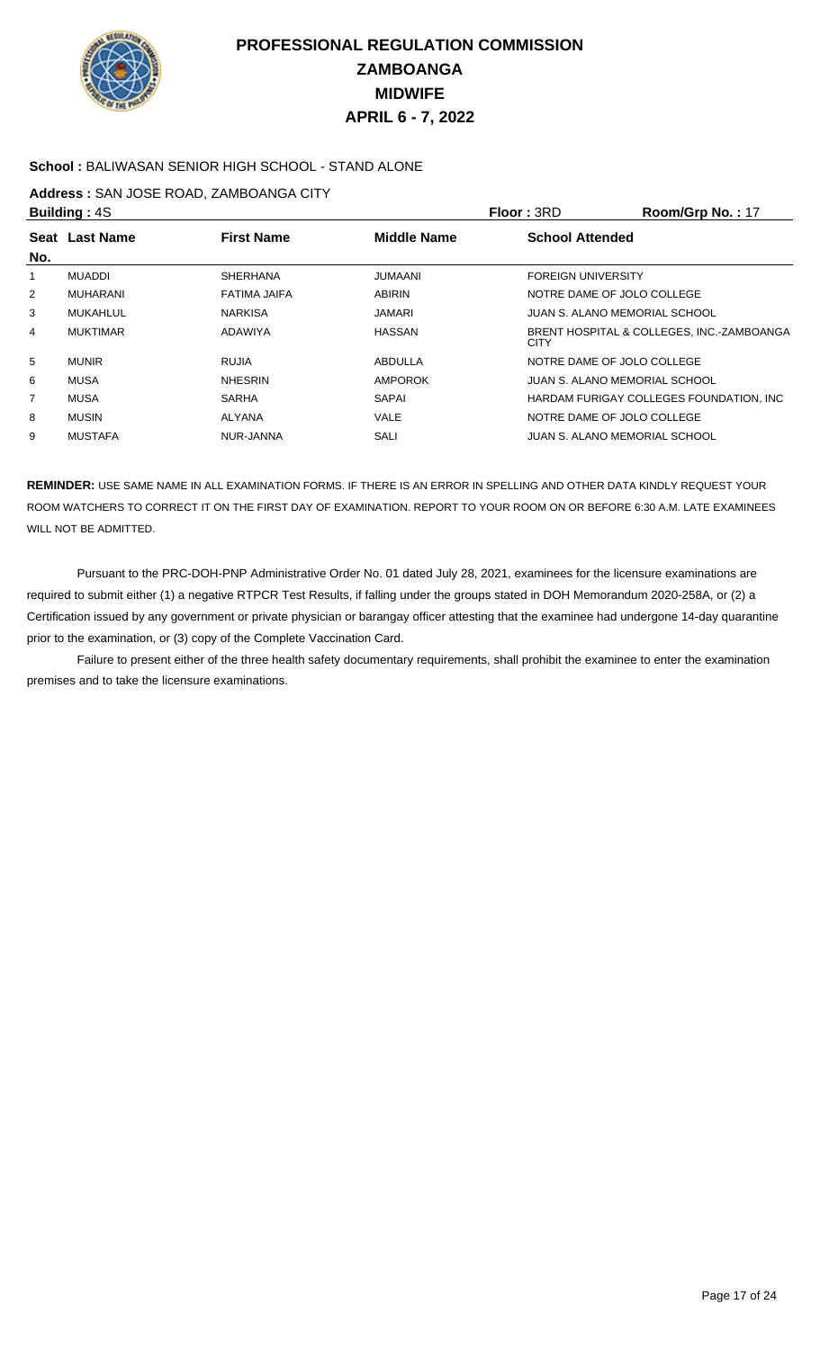

### **School :** BALIWASAN SENIOR HIGH SCHOOL - STAND ALONE

### **Address :** SAN JOSE ROAD, ZAMBOANGA CITY

|                | <b>Building: 4S</b> |                   |                | Floor: 3RD                | Room/Grp No.: 17                          |
|----------------|---------------------|-------------------|----------------|---------------------------|-------------------------------------------|
|                | Seat Last Name      | <b>First Name</b> | Middle Name    | <b>School Attended</b>    |                                           |
| No.            |                     |                   |                |                           |                                           |
|                | <b>MUADDI</b>       | <b>SHERHANA</b>   | <b>JUMAANI</b> | <b>FOREIGN UNIVERSITY</b> |                                           |
| 2              | MUHARANI            | FATIMA JAIFA      | <b>ABIRIN</b>  |                           | NOTRE DAME OF JOLO COLLEGE                |
| 3              | MUKAHLUL            | <b>NARKISA</b>    | <b>JAMARI</b>  |                           | JUAN S. ALANO MEMORIAL SCHOOL             |
| 4              | <b>MUKTIMAR</b>     | ADAWIYA           | HASSAN         | <b>CITY</b>               | BRENT HOSPITAL & COLLEGES, INC.-ZAMBOANGA |
| 5              | <b>MUNIR</b>        | <b>RUJIA</b>      | ABDULLA        |                           | NOTRE DAME OF JOLO COLLEGE                |
| 6              | MUSA                | <b>NHESRIN</b>    | <b>AMPOROK</b> |                           | JUAN S. ALANO MEMORIAL SCHOOL             |
| $\overline{7}$ | MUSA                | <b>SARHA</b>      | <b>SAPAI</b>   |                           | HARDAM FURIGAY COLLEGES FOUNDATION, INC.  |
| 8              | <b>MUSIN</b>        | ALYANA            | <b>VALE</b>    |                           | NOTRE DAME OF JOLO COLLEGE                |
| 9              | <b>MUSTAFA</b>      | NUR-JANNA         | SALI           |                           | JUAN S. ALANO MEMORIAL SCHOOL             |

**REMINDER:** USE SAME NAME IN ALL EXAMINATION FORMS. IF THERE IS AN ERROR IN SPELLING AND OTHER DATA KINDLY REQUEST YOUR ROOM WATCHERS TO CORRECT IT ON THE FIRST DAY OF EXAMINATION. REPORT TO YOUR ROOM ON OR BEFORE 6:30 A.M. LATE EXAMINEES WILL NOT BE ADMITTED.

 Pursuant to the PRC-DOH-PNP Administrative Order No. 01 dated July 28, 2021, examinees for the licensure examinations are required to submit either (1) a negative RTPCR Test Results, if falling under the groups stated in DOH Memorandum 2020-258A, or (2) a Certification issued by any government or private physician or barangay officer attesting that the examinee had undergone 14-day quarantine prior to the examination, or (3) copy of the Complete Vaccination Card.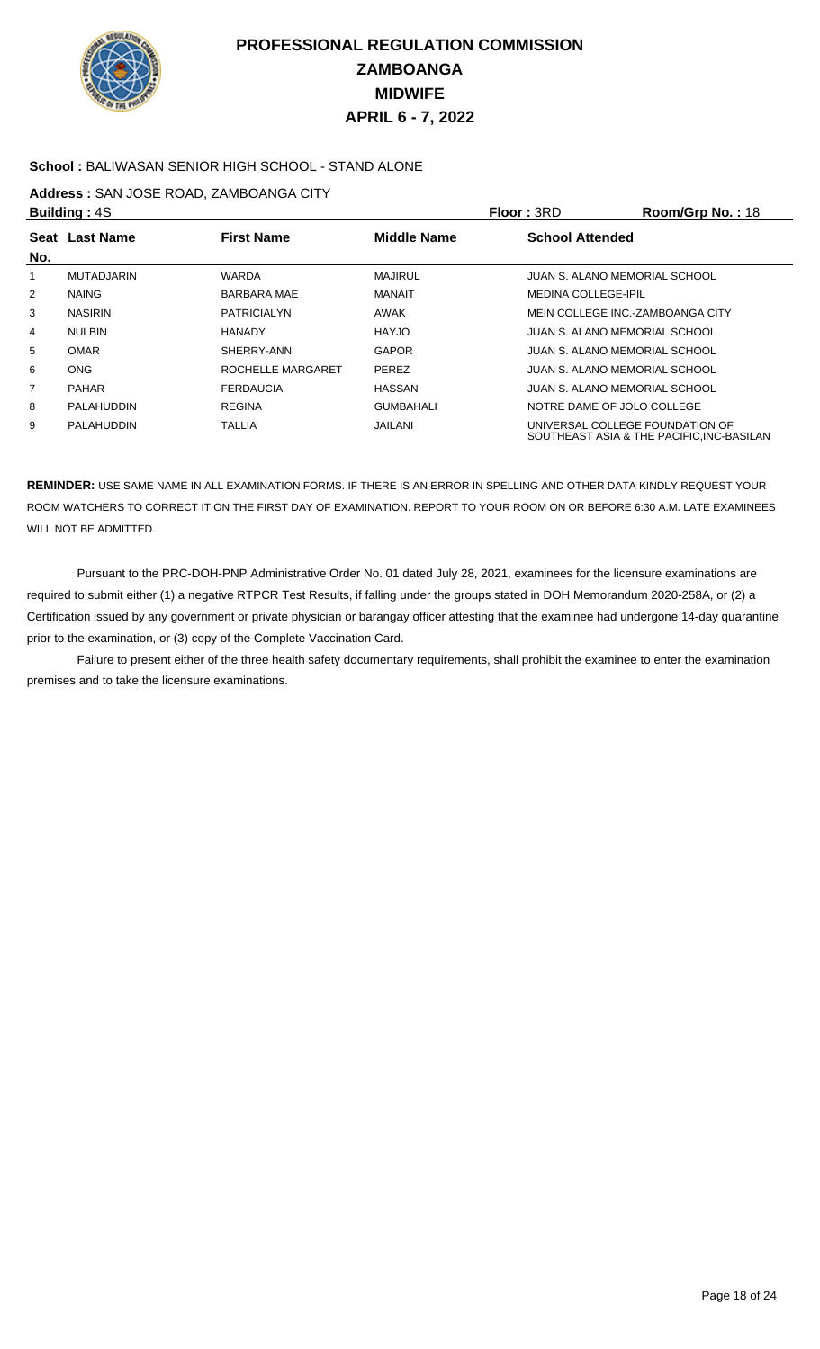

### **School :** BALIWASAN SENIOR HIGH SCHOOL - STAND ALONE

### **Address :** SAN JOSE ROAD, ZAMBOANGA CITY

|                | <b>Building: 4S</b>                                       |                    |                  | <b>Floor: 3RD</b>                | Room/Grp No.: 18                          |
|----------------|-----------------------------------------------------------|--------------------|------------------|----------------------------------|-------------------------------------------|
|                | Seat Last Name<br><b>First Name</b><br><b>Middle Name</b> |                    |                  | <b>School Attended</b>           |                                           |
| No.            |                                                           |                    |                  |                                  |                                           |
|                | <b>MUTADJARIN</b>                                         | <b>WARDA</b>       | <b>MAJIRUL</b>   | JUAN S. ALANO MEMORIAL SCHOOL    |                                           |
| $\overline{2}$ | <b>NAING</b>                                              | <b>BARBARA MAE</b> | <b>MANAIT</b>    | <b>MEDINA COLLEGE-IPIL</b>       |                                           |
| 3              | <b>NASIRIN</b>                                            | <b>PATRICIALYN</b> | AWAK             | MEIN COLLEGE INC.-ZAMBOANGA CITY |                                           |
| 4              | <b>NULBIN</b>                                             | <b>HANADY</b>      | <b>HAYJO</b>     | JUAN S. ALANO MEMORIAL SCHOOL    |                                           |
| 5              | <b>OMAR</b>                                               | SHERRY-ANN         | <b>GAPOR</b>     | JUAN S. ALANO MEMORIAL SCHOOL    |                                           |
| 6              | <b>ONG</b>                                                | ROCHELLE MARGARET  | <b>PEREZ</b>     | JUAN S. ALANO MEMORIAL SCHOOL    |                                           |
| $\overline{7}$ | <b>PAHAR</b>                                              | <b>FERDAUCIA</b>   | <b>HASSAN</b>    | JUAN S. ALANO MEMORIAL SCHOOL    |                                           |
| 8              | PALAHUDDIN                                                | <b>REGINA</b>      | <b>GUMBAHALI</b> | NOTRE DAME OF JOLO COLLEGE       |                                           |
| 9              | PALAHUDDIN                                                | <b>TALLIA</b>      | JAILANI          | UNIVERSAL COLLEGE FOUNDATION OF  | SOUTHEAST ASIA & THE PACIFIC, INC-BASILAN |

**REMINDER:** USE SAME NAME IN ALL EXAMINATION FORMS. IF THERE IS AN ERROR IN SPELLING AND OTHER DATA KINDLY REQUEST YOUR ROOM WATCHERS TO CORRECT IT ON THE FIRST DAY OF EXAMINATION. REPORT TO YOUR ROOM ON OR BEFORE 6:30 A.M. LATE EXAMINEES WILL NOT BE ADMITTED.

 Pursuant to the PRC-DOH-PNP Administrative Order No. 01 dated July 28, 2021, examinees for the licensure examinations are required to submit either (1) a negative RTPCR Test Results, if falling under the groups stated in DOH Memorandum 2020-258A, or (2) a Certification issued by any government or private physician or barangay officer attesting that the examinee had undergone 14-day quarantine prior to the examination, or (3) copy of the Complete Vaccination Card.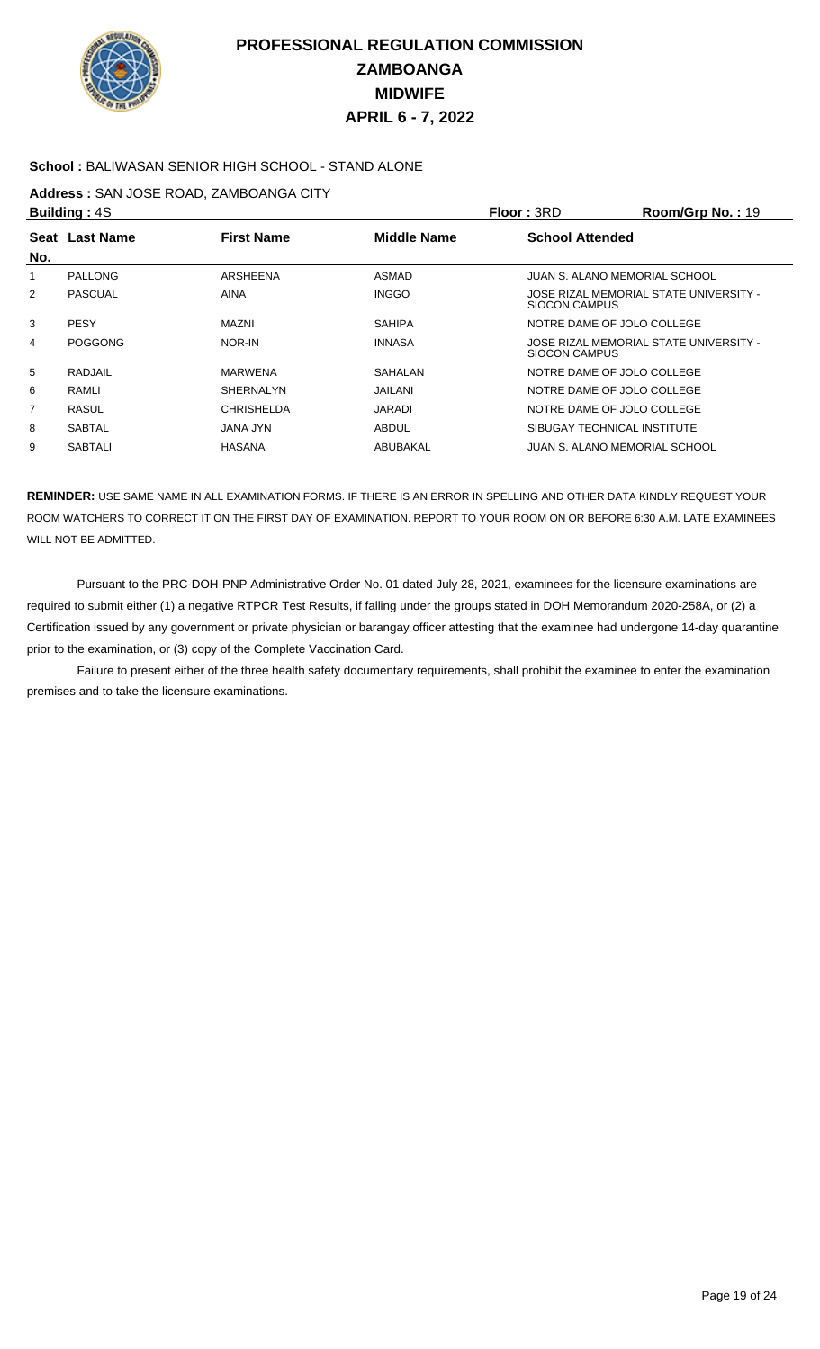

### **School :** BALIWASAN SENIOR HIGH SCHOOL - STAND ALONE

### **Address :** SAN JOSE ROAD, ZAMBOANGA CITY

|                | <b>Building: 4S</b>                                       |                   |                        | <b>Floor: 3RD</b>    | Room/Grp No.: 19                       |
|----------------|-----------------------------------------------------------|-------------------|------------------------|----------------------|----------------------------------------|
|                | Seat Last Name<br><b>First Name</b><br><b>Middle Name</b> |                   | <b>School Attended</b> |                      |                                        |
| No.            |                                                           |                   |                        |                      |                                        |
|                | <b>PALLONG</b>                                            | ARSHEENA          | ASMAD                  |                      | JUAN S. ALANO MEMORIAL SCHOOL          |
| $\overline{2}$ | <b>PASCUAL</b>                                            | AINA              | <b>INGGO</b>           | <b>SIOCON CAMPUS</b> | JOSE RIZAL MEMORIAL STATE UNIVERSITY - |
| 3              | <b>PESY</b>                                               | MAZNI             | <b>SAHIPA</b>          |                      | NOTRE DAME OF JOLO COLLEGE             |
| 4              | <b>POGGONG</b>                                            | NOR-IN            | <b>INNASA</b>          | SIOCON CAMPUS        | JOSE RIZAL MEMORIAL STATE UNIVERSITY - |
| 5              | RADJAIL                                                   | <b>MARWENA</b>    | <b>SAHALAN</b>         |                      | NOTRE DAME OF JOLO COLLEGE             |
| 6              | RAMLI                                                     | <b>SHERNALYN</b>  | JAILANI                |                      | NOTRE DAME OF JOLO COLLEGE             |
| 7              | RASUL                                                     | <b>CHRISHELDA</b> | JARADI                 |                      | NOTRE DAME OF JOLO COLLEGE             |
| 8              | <b>SABTAL</b>                                             | JANA JYN          | <b>ABDUL</b>           |                      | SIBUGAY TECHNICAL INSTITUTE            |
| 9              | <b>SABTALI</b>                                            | <b>HASANA</b>     | ABUBAKAL               |                      | JUAN S. ALANO MEMORIAL SCHOOL          |

**REMINDER:** USE SAME NAME IN ALL EXAMINATION FORMS. IF THERE IS AN ERROR IN SPELLING AND OTHER DATA KINDLY REQUEST YOUR ROOM WATCHERS TO CORRECT IT ON THE FIRST DAY OF EXAMINATION. REPORT TO YOUR ROOM ON OR BEFORE 6:30 A.M. LATE EXAMINEES WILL NOT BE ADMITTED.

 Pursuant to the PRC-DOH-PNP Administrative Order No. 01 dated July 28, 2021, examinees for the licensure examinations are required to submit either (1) a negative RTPCR Test Results, if falling under the groups stated in DOH Memorandum 2020-258A, or (2) a Certification issued by any government or private physician or barangay officer attesting that the examinee had undergone 14-day quarantine prior to the examination, or (3) copy of the Complete Vaccination Card.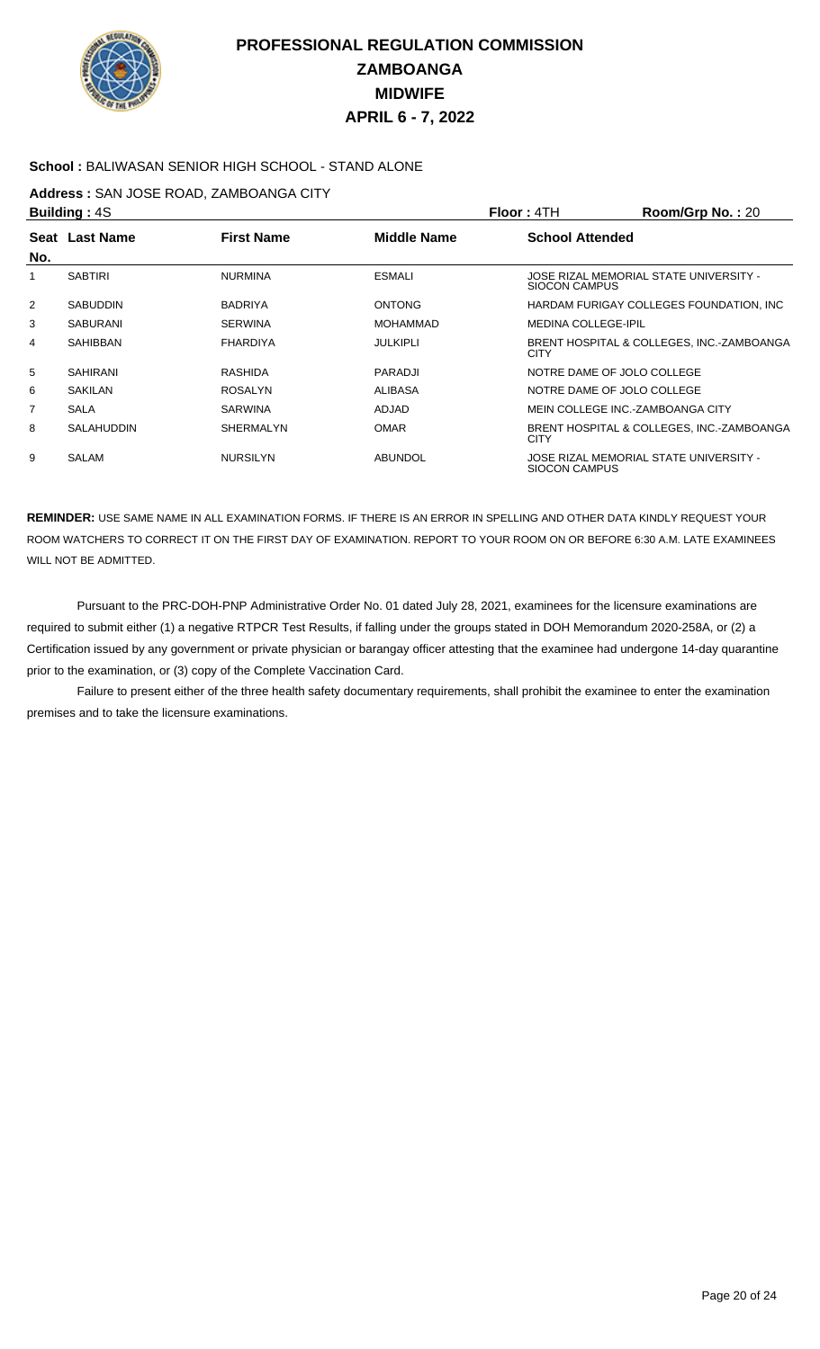

### **School :** BALIWASAN SENIOR HIGH SCHOOL - STAND ALONE

### **Address :** SAN JOSE ROAD, ZAMBOANGA CITY

|                 | <b>Building: 4S</b> |                   |                 | Floor : 4TH                | Room/Grp No.: 20                          |
|-----------------|---------------------|-------------------|-----------------|----------------------------|-------------------------------------------|
|                 | Seat Last Name      | <b>First Name</b> | Middle Name     | <b>School Attended</b>     |                                           |
| No.             |                     |                   |                 |                            |                                           |
|                 | <b>SABTIRI</b>      | <b>NURMINA</b>    | <b>ESMALI</b>   | SIOCON CAMPUS              | JOSE RIZAL MEMORIAL STATE UNIVERSITY -    |
| 2               | <b>SABUDDIN</b>     | <b>BADRIYA</b>    | <b>ONTONG</b>   |                            | HARDAM FURIGAY COLLEGES FOUNDATION, INC.  |
| 3               | SABURANI            | <b>SERWINA</b>    | <b>MOHAMMAD</b> | <b>MEDINA COLLEGE-IPIL</b> |                                           |
| 4               | SAHIBBAN            | <b>FHARDIYA</b>   | <b>JULKIPLI</b> | <b>CITY</b>                | BRENT HOSPITAL & COLLEGES, INC.-ZAMBOANGA |
| $5\overline{5}$ | <b>SAHIRANI</b>     | <b>RASHIDA</b>    | <b>PARADJI</b>  |                            | NOTRE DAME OF JOLO COLLEGE                |
| 6               | <b>SAKILAN</b>      | ROSALYN           | <b>ALIBASA</b>  |                            | NOTRE DAME OF JOLO COLLEGE                |
| 7               | <b>SALA</b>         | <b>SARWINA</b>    | <b>ADJAD</b>    |                            | MEIN COLLEGE INC. ZAMBOANGA CITY          |
| 8               | <b>SALAHUDDIN</b>   | <b>SHERMALYN</b>  | <b>OMAR</b>     | <b>CITY</b>                | BRENT HOSPITAL & COLLEGES, INC.-ZAMBOANGA |
| 9               | SALAM               | <b>NURSILYN</b>   | <b>ABUNDOL</b>  | SIOCON CAMPUS              | JOSE RIZAL MEMORIAL STATE UNIVERSITY -    |

**REMINDER:** USE SAME NAME IN ALL EXAMINATION FORMS. IF THERE IS AN ERROR IN SPELLING AND OTHER DATA KINDLY REQUEST YOUR ROOM WATCHERS TO CORRECT IT ON THE FIRST DAY OF EXAMINATION. REPORT TO YOUR ROOM ON OR BEFORE 6:30 A.M. LATE EXAMINEES WILL NOT BE ADMITTED.

 Pursuant to the PRC-DOH-PNP Administrative Order No. 01 dated July 28, 2021, examinees for the licensure examinations are required to submit either (1) a negative RTPCR Test Results, if falling under the groups stated in DOH Memorandum 2020-258A, or (2) a Certification issued by any government or private physician or barangay officer attesting that the examinee had undergone 14-day quarantine prior to the examination, or (3) copy of the Complete Vaccination Card.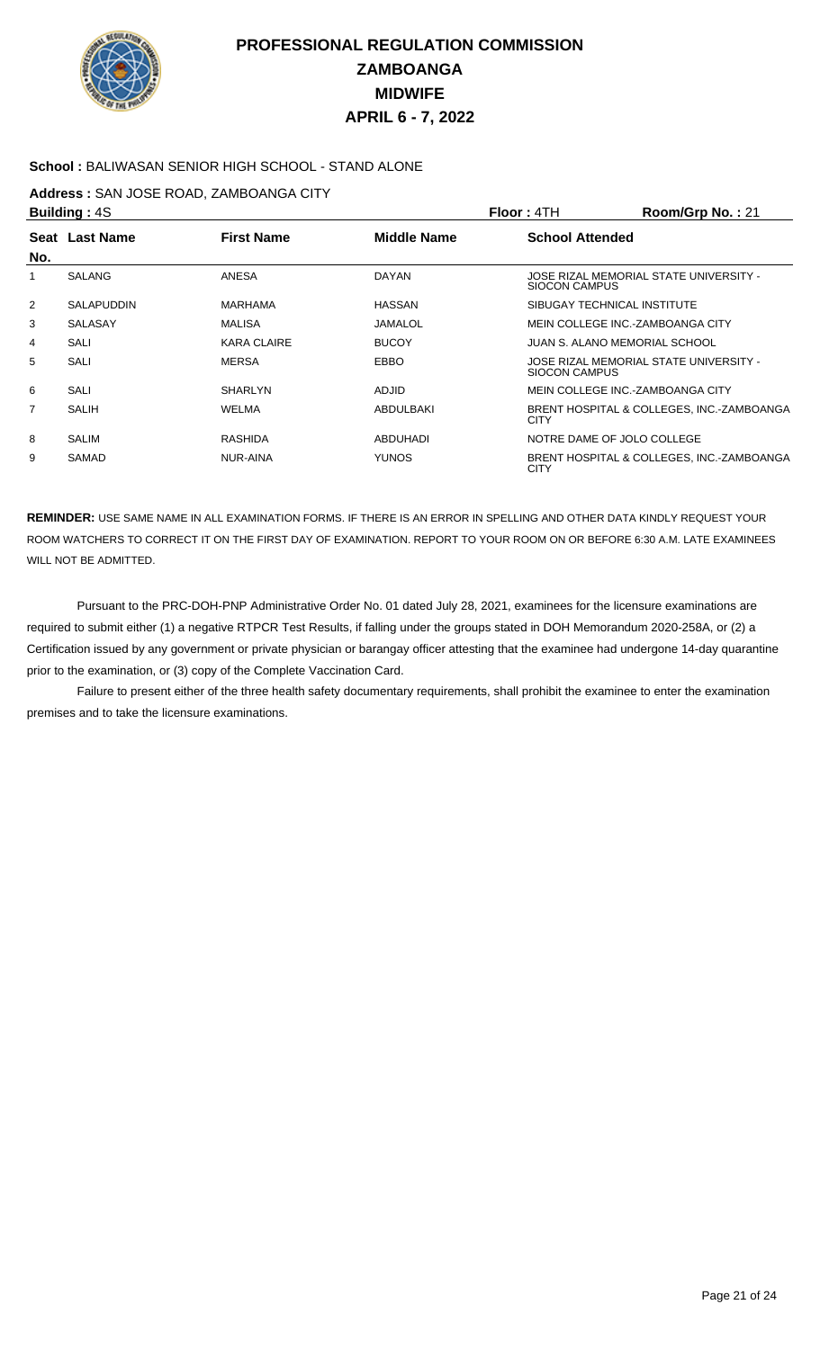

### **School :** BALIWASAN SENIOR HIGH SCHOOL - STAND ALONE

### **Address :** SAN JOSE ROAD, ZAMBOANGA CITY

|                | <b>Building: 4S</b> |                    |               | Floor: 4TH             | Room/Grp No.: 21                          |
|----------------|---------------------|--------------------|---------------|------------------------|-------------------------------------------|
|                | Seat Last Name      | <b>First Name</b>  | Middle Name   | <b>School Attended</b> |                                           |
| No.            |                     |                    |               |                        |                                           |
|                | <b>SALANG</b>       | <b>ANESA</b>       | DAYAN         | SIOCON CAMPUS          | JOSE RIZAL MEMORIAL STATE UNIVERSITY -    |
| 2              | <b>SALAPUDDIN</b>   | <b>MARHAMA</b>     | <b>HASSAN</b> |                        | SIBUGAY TECHNICAL INSTITUTE               |
| 3              | <b>SALASAY</b>      | <b>MALISA</b>      | JAMALOL       |                        | MEIN COLLEGE INC.-ZAMBOANGA CITY          |
| 4              | SALI                | <b>KARA CLAIRE</b> | <b>BUCOY</b>  |                        | JUAN S. ALANO MEMORIAL SCHOOL             |
| 5              | SALI                | <b>MERSA</b>       | <b>EBBO</b>   | SIOCON CAMPUS          | JOSE RIZAL MEMORIAL STATE UNIVERSITY -    |
| 6              | <b>SALI</b>         | <b>SHARLYN</b>     | <b>ADJID</b>  |                        | MEIN COLLEGE INC.-ZAMBOANGA CITY          |
| $\overline{7}$ | SALIH               | WELMA              | ABDULBAKI     | <b>CITY</b>            | BRENT HOSPITAL & COLLEGES, INC.-ZAMBOANGA |
| 8              | SALIM               | RASHIDA            | ABDUHADI      |                        | NOTRE DAME OF JOLO COLLEGE                |
| 9              | SAMAD               | NUR-AINA           | <b>YUNOS</b>  | <b>CITY</b>            | BRENT HOSPITAL & COLLEGES, INC.-ZAMBOANGA |

**REMINDER:** USE SAME NAME IN ALL EXAMINATION FORMS. IF THERE IS AN ERROR IN SPELLING AND OTHER DATA KINDLY REQUEST YOUR ROOM WATCHERS TO CORRECT IT ON THE FIRST DAY OF EXAMINATION. REPORT TO YOUR ROOM ON OR BEFORE 6:30 A.M. LATE EXAMINEES WILL NOT BE ADMITTED.

 Pursuant to the PRC-DOH-PNP Administrative Order No. 01 dated July 28, 2021, examinees for the licensure examinations are required to submit either (1) a negative RTPCR Test Results, if falling under the groups stated in DOH Memorandum 2020-258A, or (2) a Certification issued by any government or private physician or barangay officer attesting that the examinee had undergone 14-day quarantine prior to the examination, or (3) copy of the Complete Vaccination Card.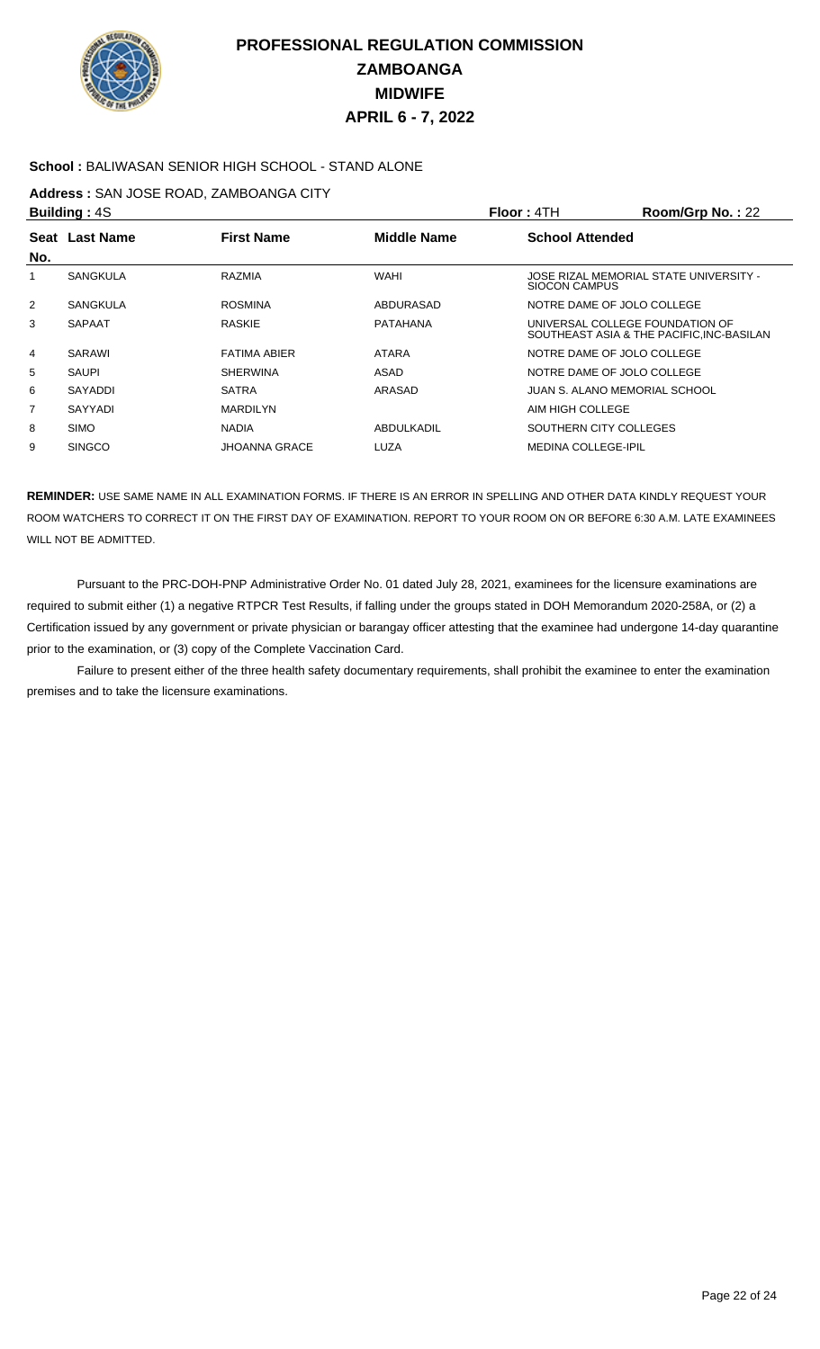

### **School :** BALIWASAN SENIOR HIGH SCHOOL - STAND ALONE

### **Address :** SAN JOSE ROAD, ZAMBOANGA CITY

|     | <b>Building: 4S</b> |                      |                    | Floor: 4TH                      | Room/Grp No.: 22                         |
|-----|---------------------|----------------------|--------------------|---------------------------------|------------------------------------------|
|     | Seat Last Name      | <b>First Name</b>    | <b>Middle Name</b> | <b>School Attended</b>          |                                          |
| No. |                     |                      |                    |                                 |                                          |
|     | <b>SANGKULA</b>     | RAZMIA               | <b>WAHI</b>        | <b>SIOCON CAMPUS</b>            | JOSE RIZAL MEMORIAL STATE UNIVERSITY -   |
| 2   | <b>SANGKULA</b>     | <b>ROSMINA</b>       | ABDURASAD          | NOTRE DAME OF JOLO COLLEGE      |                                          |
| 3   | <b>SAPAAT</b>       | <b>RASKIE</b>        | <b>PATAHANA</b>    | UNIVERSAL COLLEGE FOUNDATION OF | SOUTHEAST ASIA & THE PACIFIC.INC-BASILAN |
| 4   | SARAWI              | <b>FATIMA ABIER</b>  | <b>ATARA</b>       | NOTRE DAME OF JOLO COLLEGE      |                                          |
| 5   | SAUPI               | <b>SHERWINA</b>      | ASAD               | NOTRE DAME OF JOLO COLLEGE      |                                          |
| 6   | <b>SAYADDI</b>      | <b>SATRA</b>         | ARASAD             | JUAN S. ALANO MEMORIAL SCHOOL   |                                          |
| 7   | SAYYADI             | <b>MARDILYN</b>      |                    | AIM HIGH COLLEGE                |                                          |
| 8   | <b>SIMO</b>         | <b>NADIA</b>         | ABDULKADIL         | SOUTHERN CITY COLLEGES          |                                          |
| 9   | <b>SINGCO</b>       | <b>JHOANNA GRACE</b> | LUZA               | <b>MEDINA COLLEGE-IPIL</b>      |                                          |

**REMINDER:** USE SAME NAME IN ALL EXAMINATION FORMS. IF THERE IS AN ERROR IN SPELLING AND OTHER DATA KINDLY REQUEST YOUR ROOM WATCHERS TO CORRECT IT ON THE FIRST DAY OF EXAMINATION. REPORT TO YOUR ROOM ON OR BEFORE 6:30 A.M. LATE EXAMINEES WILL NOT BE ADMITTED.

 Pursuant to the PRC-DOH-PNP Administrative Order No. 01 dated July 28, 2021, examinees for the licensure examinations are required to submit either (1) a negative RTPCR Test Results, if falling under the groups stated in DOH Memorandum 2020-258A, or (2) a Certification issued by any government or private physician or barangay officer attesting that the examinee had undergone 14-day quarantine prior to the examination, or (3) copy of the Complete Vaccination Card.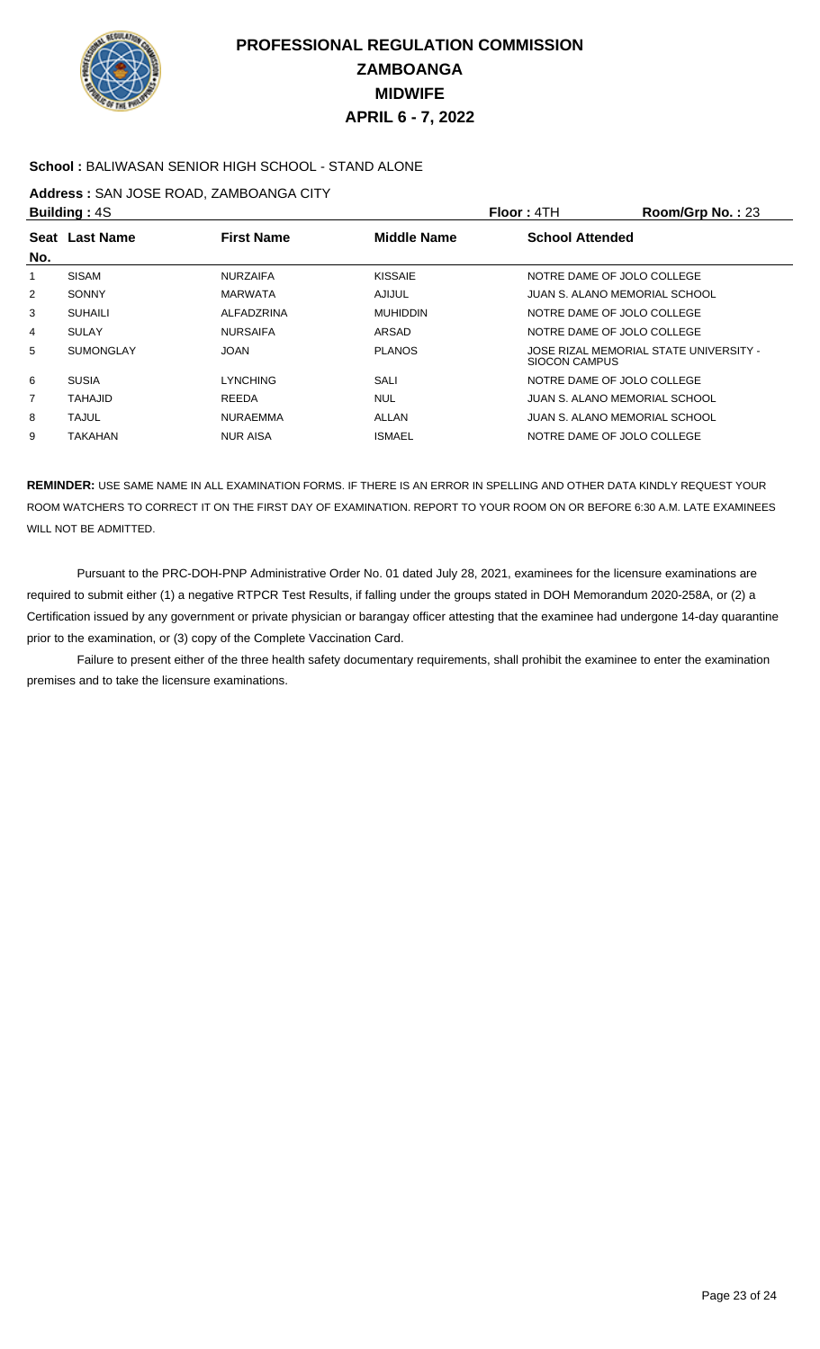

### **School :** BALIWASAN SENIOR HIGH SCHOOL - STAND ALONE

### **Address :** SAN JOSE ROAD, ZAMBOANGA CITY

|                | <b>Building: 4S</b> |                   |                    | Floor: 4TH                 | Room/Grp No.: 23                       |
|----------------|---------------------|-------------------|--------------------|----------------------------|----------------------------------------|
|                | Seat Last Name      | <b>First Name</b> | <b>Middle Name</b> | <b>School Attended</b>     |                                        |
| No.            |                     |                   |                    |                            |                                        |
|                | <b>SISAM</b>        | <b>NURZAIFA</b>   | <b>KISSAIE</b>     |                            | NOTRE DAME OF JOLO COLLEGE             |
| $\overline{2}$ | <b>SONNY</b>        | <b>MARWATA</b>    | AJIJUL             |                            | JUAN S. ALANO MEMORIAL SCHOOL          |
| 3              | <b>SUHAILI</b>      | ALFADZRINA        | <b>MUHIDDIN</b>    | NOTRE DAME OF JOLO COLLEGE |                                        |
| 4              | <b>SULAY</b>        | <b>NURSAIFA</b>   | ARSAD              |                            | NOTRE DAME OF JOLO COLLEGE             |
| 5              | <b>SUMONGLAY</b>    | <b>JOAN</b>       | <b>PLANOS</b>      | <b>SIOCON CAMPUS</b>       | JOSE RIZAL MEMORIAL STATE UNIVERSITY - |
| 6              | <b>SUSIA</b>        | LYNCHING          | SALI               |                            | NOTRE DAME OF JOLO COLLEGE             |
| 7              | <b>TAHAJID</b>      | <b>REEDA</b>      | <b>NUL</b>         |                            | JUAN S. ALANO MEMORIAL SCHOOL          |
| 8              | <b>TAJUL</b>        | <b>NURAEMMA</b>   | ALLAN              |                            | JUAN S. ALANO MEMORIAL SCHOOL          |
| 9              | TAKAHAN             | <b>NUR AISA</b>   | <b>ISMAEL</b>      |                            | NOTRE DAME OF JOLO COLLEGE             |
|                |                     |                   |                    |                            |                                        |

**REMINDER:** USE SAME NAME IN ALL EXAMINATION FORMS. IF THERE IS AN ERROR IN SPELLING AND OTHER DATA KINDLY REQUEST YOUR ROOM WATCHERS TO CORRECT IT ON THE FIRST DAY OF EXAMINATION. REPORT TO YOUR ROOM ON OR BEFORE 6:30 A.M. LATE EXAMINEES WILL NOT BE ADMITTED.

 Pursuant to the PRC-DOH-PNP Administrative Order No. 01 dated July 28, 2021, examinees for the licensure examinations are required to submit either (1) a negative RTPCR Test Results, if falling under the groups stated in DOH Memorandum 2020-258A, or (2) a Certification issued by any government or private physician or barangay officer attesting that the examinee had undergone 14-day quarantine prior to the examination, or (3) copy of the Complete Vaccination Card.